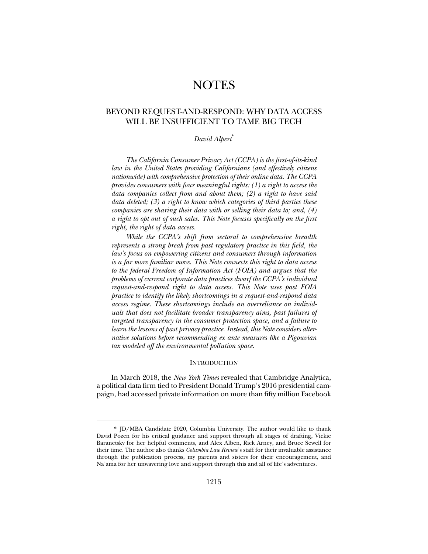# **NOTES**

## BEYOND REQUEST-AND-RESPOND: WHY DATA ACCESS WILL BE INSUFFICIENT TO TAME BIG TECH

## *David Alpert*\*

*The California Consumer Privacy Act (CCPA) is the first-of-its-kind law in the United States providing Californians (and effectively citizens nationwide) with comprehensive protection of their online data. The CCPA provides consumers with four meaningful rights: (1) a right to access the data companies collect from and about them; (2) a right to have said data deleted; (3) a right to know which categories of third parties these companies are sharing their data with or selling their data to; and, (4) a right to opt out of such sales. This Note focuses specifically on the first right, the right of data access.* 

*While the CCPA's shift from sectoral to comprehensive breadth represents a strong break from past regulatory practice in this field, the law's focus on empowering citizens and consumers through information is a far more familiar move. This Note connects this right to data access to the federal Freedom of Information Act (FOIA) and argues that the problems of current corporate data practices dwarf the CCPA's individual request-and-respond right to data access. This Note uses past FOIA practice to identify the likely shortcomings in a request-and-respond data access regime. These shortcomings include an overreliance on individuals that does not facilitate broader transparency aims, past failures of targeted transparency in the consumer protection space, and a failure to learn the lessons of past privacy practice. Instead, this Note considers alternative solutions before recommending ex ante measures like a Pigouvian tax modeled off the environmental pollution space.* 

## **INTRODUCTION**

In March 2018, the *New York Times* revealed that Cambridge Analytica, a political data firm tied to President Donald Trump's 2016 presidential campaign, had accessed private information on more than fifty million Facebook

 <sup>\*</sup> JD/MBA Candidate 2020, Columbia University. The author would like to thank David Pozen for his critical guidance and support through all stages of drafting, Vickie Baranetsky for her helpful comments, and Alex Alben, Rick Arney, and Bruce Sewell for their time. The author also thanks *Columbia Law Review*'s staff for their invaluable assistance through the publication process, my parents and sisters for their encouragement, and Na'ama for her unwavering love and support through this and all of life's adventures.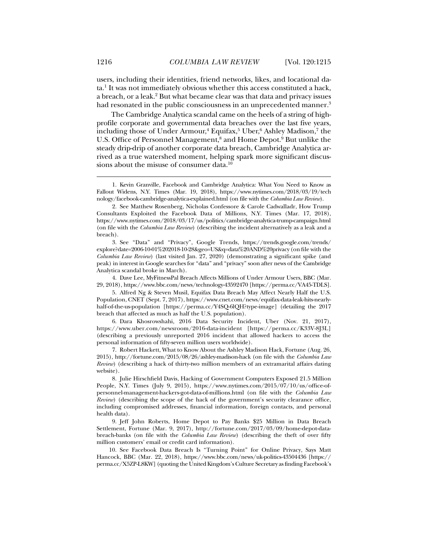users, including their identities, friend networks, likes, and locational data.1 It was not immediately obvious whether this access constituted a hack, a breach, or a leak.<sup>2</sup> But what became clear was that data and privacy issues had resonated in the public consciousness in an unprecedented manner.<sup>3</sup>

The Cambridge Analytica scandal came on the heels of a string of highprofile corporate and governmental data breaches over the last five years, including those of Under Armour,<sup>4</sup> Equifax,<sup>5</sup> Uber,<sup>6</sup> Ashley Madison,<sup>7</sup> the U.S. Office of Personnel Management,<sup>8</sup> and Home Depot.<sup>9</sup> But unlike the steady drip-drip of another corporate data breach, Cambridge Analytica arrived as a true watershed moment, helping spark more significant discussions about the misuse of consumer data.<sup>10</sup>

 4. Dave Lee, MyFitnessPal Breach Affects Millions of Under Armour Users, BBC (Mar. 29, 2018), https://www.bbc.com/news/technology-43592470 [https://perma.cc/VA45-TDLS].

 5. Alfred Ng & Steven Musil, Equifax Data Breach May Affect Nearly Half the U.S. Population, CNET (Sept. 7, 2017), https://www.cnet.com/news/equifax-data-leak-hits-nearlyhalf-of-the-us-population [https://perma.cc/Y4SQ-6lQH?type-image] (detailing the 2017 breach that affected as much as half the U.S. population).

 6. Dara Khosrowshahi, 2016 Data Security Incident, Uber (Nov. 21, 2017), https://www.uber.com/newsroom/2016-data-incident [https://perma.cc/K33V-8J3L] (describing a previously unreported 2016 incident that allowed hackers to access the personal information of fifty-seven million users worldwide).

 7. Robert Hackett, What to Know About the Ashley Madison Hack, Fortune (Aug. 26, 2015), http://fortune.com/2015/08/26/ashley-madison-hack (on file with the *Columbia Law Review*) (describing a hack of thirty-two million members of an extramarital affairs dating website).

 8. Julie Hirschfield Davis, Hacking of Government Computers Exposed 21.5 Million People, N.Y. Times (July 9, 2015), https://www.nytimes.com/2015/07/10/us/office-ofpersonnel-management-hackers-got-data-of-millions.html (on file with the *Columbia Law Review*) (describing the scope of the hack of the government's security clearance office, including compromised addresses, financial information, foreign contacts, and personal health data).

 9. Jeff John Roberts, Home Depot to Pay Banks \$25 Million in Data Breach Settlement, Fortune (Mar. 9, 2017), http://fortune.com/2017/03/09/home-depot-databreach-banks (on file with the *Columbia Law Review*) (describing the theft of over fifty million customers' email or credit card information).

 10. See Facebook Data Breach Is "Turning Point" for Online Privacy, Says Matt Hancock, BBC (Mar. 22, 2018), https://www.bbc.com/news/uk-politics-43504436 [https:// perma.cc/X5ZP-L8KW] (quoting the United Kingdom's Culture Secretary as finding Facebook's

 <sup>1.</sup> Kevin Granville, Facebook and Cambridge Analytica: What You Need to Know as Fallout Widens, N.Y. Times (Mar. 19, 2018), https://www.nytimes.com/2018/03/19/tech nology/facebook-cambridge-analytica-explained.html (on file with the *Columbia Law Review*).

 <sup>2.</sup> See Matthew Rosenberg, Nicholas Confessore & Carole Cadwalladr, How Trump Consultants Exploited the Facebook Data of Millions, N.Y. Times (Mar. 17, 2018), https://www.nytimes.com/2018/03/17/us/politics/cambridge-analytica-trump-campaign.html (on file with the *Columbia Law Review*) (describing the incident alternatively as a leak and a breach).

 <sup>3.</sup> See "Data" and "Privacy", Google Trends, https://trends.google.com/trends/ explore?date=2006-10-01%202018-10-28&geo=US&q=data%20AND%20privacy (on file with the *Columbia Law Review*) (last visited Jan. 27, 2020) (demonstrating a significant spike (and peak) in interest in Google searches for "data" and "privacy" soon after news of the Cambridge Analytica scandal broke in March).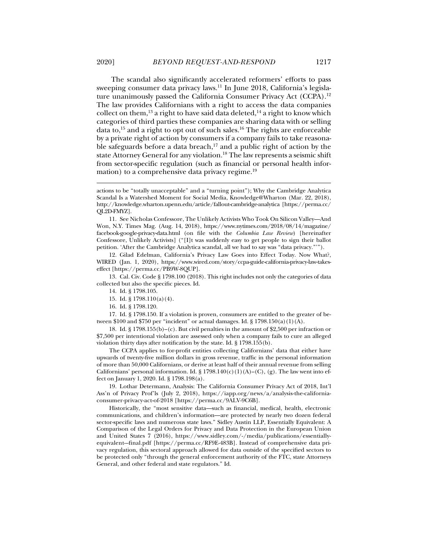The scandal also significantly accelerated reformers' efforts to pass sweeping consumer data privacy laws.11 In June 2018, California's legislature unanimously passed the California Consumer Privacy Act (CCPA).12 The law provides Californians with a right to access the data companies collect on them,<sup>13</sup> a right to have said data deleted,<sup>14</sup> a right to know which categories of third parties these companies are sharing data with or selling data to,<sup>15</sup> and a right to opt out of such sales.<sup>16</sup> The rights are enforceable by a private right of action by consumers if a company fails to take reasonable safeguards before a data breach, $17$  and a public right of action by the state Attorney General for any violation.<sup>18</sup> The law represents a seismic shift from sector-specific regulation (such as financial or personal health information) to a comprehensive data privacy regime.<sup>19</sup>

 11. See Nicholas Confessore, The Unlikely Activists Who Took On Silicon Valley—And Won, N.Y. Times Mag. (Aug. 14, 2018), https://www.nytimes.com/2018/08/14/magazine/ facebook-google-privacy-data.html (on file with the *Columbia Law Review*) [hereinafter Confessore, Unlikely Activists] ("[I]t was suddenly easy to get people to sign their ballot petition. 'After the Cambridge Analytica scandal, all we had to say was "data privacy."'").

 12. Gilad Edelman, California's Privacy Law Goes into Effect Today. Now What?, WIRED (Jan. 1, 2020), https://www.wired.com/story/ccpa-guide-california-privacy-law-takeseffect [https://perma.cc/PB9W-8QUP].

 13. Cal. Civ. Code § 1798.100 (2018). This right includes not only the categories of data collected but also the specific pieces. Id.

- 15. Id. § 1798.110(a)(4).
- 16. Id. § 1798.120.

 17. Id. § 1798.150. If a violation is proven, consumers are entitled to the greater of between \$100 and \$750 per "incident" or actual damages. Id. §  $1798.150(a)(1)(A)$ .

 18. Id. § 1798.155(b)–(c). But civil penalties in the amount of \$2,500 per infraction or \$7,500 per intentional violation are assessed only when a company fails to cure an alleged violation thirty days after notification by the state. Id. § 1798.155(b).

The CCPA applies to for-profit entities collecting Californians' data that either have upwards of twenty-five million dollars in gross revenue, traffic in the personal information of more than 50,000 Californians, or derive at least half of their annual revenue from selling Californians' personal information. Id. § 1798.140(c)(1)(A)–(C), (g). The law went into effect on January 1, 2020. Id. § 1798.198(a).

 19. Lothar Determann, Analysis: The California Consumer Privacy Act of 2018, Int'l Ass'n of Privacy Prof'ls (July 2, 2018), https://iapp.org/news/a/analysis-the-californiaconsumer-privacy-act-of-2018 [https://perma.cc/9ALV-9C6B].

Historically, the "most sensitive data—such as financial, medical, health, electronic communications, and children's information—are protected by nearly two dozen federal sector-specific laws and numerous state laws." Sidley Austin LLP, Essentially Equivalent: A Comparison of the Legal Orders for Privacy and Data Protection in the European Union and United States 7 (2016), https://www.sidley.com/-/media/publications/essentiallyequivalent--final.pdf [https://perma.cc/RF9E-483B]. Instead of comprehensive data privacy regulation, this sectoral approach allowed for data outside of the specified sectors to be protected only "through the general enforcement authority of the FTC, state Attorneys General, and other federal and state regulators." Id.

actions to be "totally unacceptable" and a "turning point"); Why the Cambridge Analytica Scandal Is a Watershed Moment for Social Media, Knowledge@Wharton (Mar. 22, 2018), http://knowledge.wharton.upenn.edu/article/fallout-cambridge-analytica [https://perma.cc/ QL2D-FMYZ].

 <sup>14.</sup> Id. § 1798.105.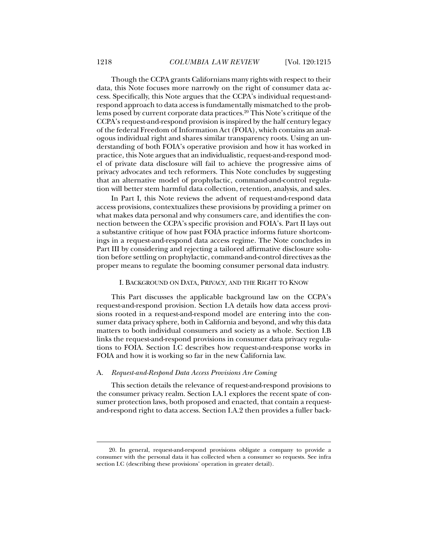Though the CCPA grants Californians many rights with respect to their data, this Note focuses more narrowly on the right of consumer data access. Specifically, this Note argues that the CCPA's individual request-andrespond approach to data access is fundamentally mismatched to the problems posed by current corporate data practices.<sup>20</sup> This Note's critique of the CCPA's request-and-respond provision is inspired by the half century legacy of the federal Freedom of Information Act (FOIA), which contains an analogous individual right and shares similar transparency roots. Using an understanding of both FOIA's operative provision and how it has worked in practice, this Note argues that an individualistic, request-and-respond model of private data disclosure will fail to achieve the progressive aims of privacy advocates and tech reformers. This Note concludes by suggesting that an alternative model of prophylactic, command-and-control regulation will better stem harmful data collection, retention, analysis, and sales.

In Part I, this Note reviews the advent of request-and-respond data access provisions, contextualizes these provisions by providing a primer on what makes data personal and why consumers care, and identifies the connection between the CCPA's specific provision and FOIA's. Part II lays out a substantive critique of how past FOIA practice informs future shortcomings in a request-and-respond data access regime. The Note concludes in Part III by considering and rejecting a tailored affirmative disclosure solution before settling on prophylactic, command-and-control directives as the proper means to regulate the booming consumer personal data industry.

## I. BACKGROUND ON DATA, PRIVACY, AND THE RIGHT TO KNOW

This Part discusses the applicable background law on the CCPA's request-and-respond provision. Section I.A details how data access provisions rooted in a request-and-respond model are entering into the consumer data privacy sphere, both in California and beyond, and why this data matters to both individual consumers and society as a whole. Section I.B links the request-and-respond provisions in consumer data privacy regulations to FOIA. Section I.C describes how request-and-response works in FOIA and how it is working so far in the new California law.

## A. *Request-and-Respond Data Access Provisions Are Coming*

This section details the relevance of request-and-respond provisions to the consumer privacy realm. Section I.A.1 explores the recent spate of consumer protection laws, both proposed and enacted, that contain a requestand-respond right to data access. Section I.A.2 then provides a fuller back-

 <sup>20.</sup> In general, request-and-respond provisions obligate a company to provide a consumer with the personal data it has collected when a consumer so requests. See infra section I.C (describing these provisions' operation in greater detail).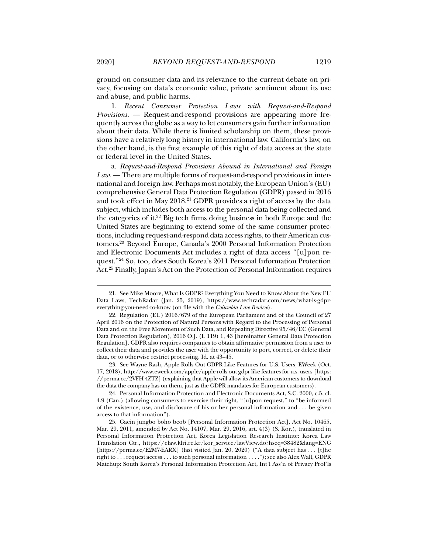ground on consumer data and its relevance to the current debate on privacy, focusing on data's economic value, private sentiment about its use and abuse, and public harms.

1. *Recent Consumer Protection Laws with Request-and-Respond Provisions*. — Request-and-respond provisions are appearing more frequently across the globe as a way to let consumers gain further information about their data. While there is limited scholarship on them, these provisions have a relatively long history in international law. California's law, on the other hand, is the first example of this right of data access at the state or federal level in the United States.

a. *Request-and-Respond Provisions Abound in International and Foreign Law*. — There are multiple forms of request-and-respond provisions in international and foreign law. Perhaps most notably, the European Union's (EU) comprehensive General Data Protection Regulation (GDPR) passed in 2016 and took effect in May 2018.<sup>21</sup> GDPR provides a right of access by the data subject, which includes both access to the personal data being collected and the categories of it.<sup>22</sup> Big tech firms doing business in both Europe and the United States are beginning to extend some of the same consumer protections, including request-and-respond data access rights, to their American customers.23 Beyond Europe, Canada's 2000 Personal Information Protection and Electronic Documents Act includes a right of data access "[u]pon request."24 So, too, does South Korea's 2011 Personal Information Protection Act.25 Finally, Japan's Act on the Protection of Personal Information requires

 <sup>21.</sup> See Mike Moore, What Is GDPR? Everything You Need to Know About the New EU Data Laws, TechRadar (Jan. 25, 2019), https://www.techradar.com/news/what-is-gdpreverything-you-need-to-know (on file with the *Columbia Law Review*).

 <sup>22.</sup> Regulation (EU) 2016/679 of the European Parliament and of the Council of 27 April 2016 on the Protection of Natural Persons with Regard to the Processing of Personal Data and on the Free Movement of Such Data, and Repealing Directive 95/46/EC (General Data Protection Regulation), 2016 O.J. (L 119) 1, 43 [hereinafter General Data Protection Regulation]. GDPR also requires companies to obtain affirmative permission from a user to collect their data and provides the user with the opportunity to port, correct, or delete their data, or to otherwise restrict processing. Id. at 43–45.

 <sup>23.</sup> See Wayne Rash, Apple Rolls Out GDPR-Like Features for U.S. Users, EWeek (Oct. 17, 2018), http://www.eweek.com/apple/apple-rolls-out-gdpr-like-features-for-u.s.-users [https: //perma.cc/2VFH-4ZTZ] (explaining that Apple will allow its American customers to download the data the company has on them, just as the GDPR mandates for European customers).

 <sup>24.</sup> Personal Information Protection and Electronic Documents Act, S.C. 2000, c.5, cl. 4.9 (Can.) (allowing consumers to exercise their right, "[u]pon request," to "be informed of the existence, use, and disclosure of his or her personal information and . . . be given access to that information").

 <sup>25.</sup> Gaein jungbo boho beob [Personal Information Protection Act], Act No. 10465, Mar. 29, 2011, amended by Act No. 14107, Mar. 29, 2016, art. 4(3) (S. Kor.), translated in Personal Information Protection Act, Korea Legislation Research Institute: Korea Law Translation Ctr., https://elaw.klri.re.kr/kor\_service/lawView.do?hseq=38482&lang=ENG [https://perma.cc/E2M7-EARX] (last visited Jan. 20, 2020) ("A data subject has . . . [t]he right to . . . request access . . . to such personal information . . . ."); see also Alex Wall, GDPR Matchup: South Korea's Personal Information Protection Act, Int'l Ass'n of Privacy Prof'ls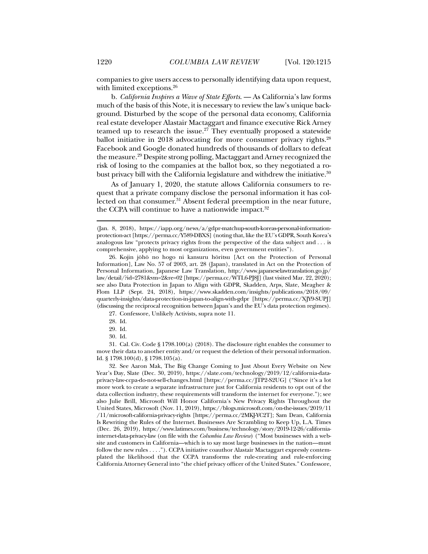companies to give users access to personally identifying data upon request, with limited exceptions.<sup>26</sup>

b. *California Inspires a Wave of State Efforts*. — As California's law forms much of the basis of this Note, it is necessary to review the law's unique background. Disturbed by the scope of the personal data economy, California real estate developer Alastair Mactaggart and finance executive Rick Arney teamed up to research the issue. $27$  They eventually proposed a statewide ballot initiative in 2018 advocating for more consumer privacy rights.<sup>28</sup> Facebook and Google donated hundreds of thousands of dollars to defeat the measure.29 Despite strong polling, Mactaggart and Arney recognized the risk of losing to the companies at the ballot box, so they negotiated a robust privacy bill with the California legislature and withdrew the initiative.<sup>30</sup>

As of January 1, 2020, the statute allows California consumers to request that a private company disclose the personal information it has collected on that consumer.<sup>31</sup> Absent federal preemption in the near future, the CCPA will continue to have a nationwide impact.<sup>32</sup>

27. Confessore, Unlikely Activists, supra note 11.

30. Id.

 31. Cal. Civ. Code § 1798.100(a) (2018). The disclosure right enables the consumer to move their data to another entity and/or request the deletion of their personal information. Id. § 1798.100(d), § 1798.105(a).

 32. See Aaron Mak, The Big Change Coming to Just About Every Website on New Year's Day, Slate (Dec. 30, 2019), https://slate.com/technology/2019/12/california-dataprivacy-law-ccpa-do-not-sell-changes.html [https://perma.cc/JTP2-S2UG] ("Since it's a lot more work to create a separate infrastructure just for California residents to opt out of the data collection industry, these requirements will transform the internet for everyone."); see also Julie Brill, Microsoft Will Honor California's New Privacy Rights Throughout the United States, Microsoft (Nov. 11, 2019), https://blogs.microsoft.com/on-the-issues/2019/11 /11/microsoft-california-privacy-rights [https://perma.cc/2MKJ-YC2T]; Sam Dean, California Is Rewriting the Rules of the Internet. Businesses Are Scrambling to Keep Up, L.A. Times (Dec. 26, 2019), https://www.latimes.com/business/technology/story/2019-12-26/californiainternet-data-privacy-law (on file with the *Columbia Law Review*) ("Most businesses with a website and customers in California—which is to say most large businesses in the nation—must follow the new rules . . . ."). CCPA initiative coauthor Alastair Mactaggart expressly contemplated the likelihood that the CCPA transforms the rule-creating and rule-enforcing California Attorney General into "the chief privacy officer of the United States." Confessore,

<sup>(</sup>Jan. 8, 2018), https://iapp.org/news/a/gdpr-matchup-south-koreas-personal-informationprotection-act [https://perma.cc/Y589-DBXS] (noting that, like the EU's GDPR, South Korea's analogous law "protects privacy rights from the perspective of the data subject and . . . is comprehensive, applying to most organizations, even government entities").

 <sup>26.</sup> Kojin jōhō no hogo ni kansuru hōritsu [Act on the Protection of Personal Information], Law No. 57 of 2003, art. 28 (Japan), translated in Act on the Protection of Personal Information, Japanese Law Translation, http://www.japaneselawtranslation.go.jp/ law/detail/?id=2781&vm=2&re=02 [https://perma.cc/WTL6-PJ8J] (last visited Mar. 22, 2020); see also Data Protection in Japan to Align with GDPR, Skadden, Arps, Slate, Meagher & Flom LLP (Sept. 24, 2018), https://www.skadden.com/insights/publications/2018/09/ quarterly-insights/data-protection-in-japan-to-align-with-gdpr [https://perma.cc/XJY9-SUPJ] (discussing the reciprocal recognition between Japan's and the EU's data protection regimes).

 <sup>28.</sup> Id.

 <sup>29.</sup> Id.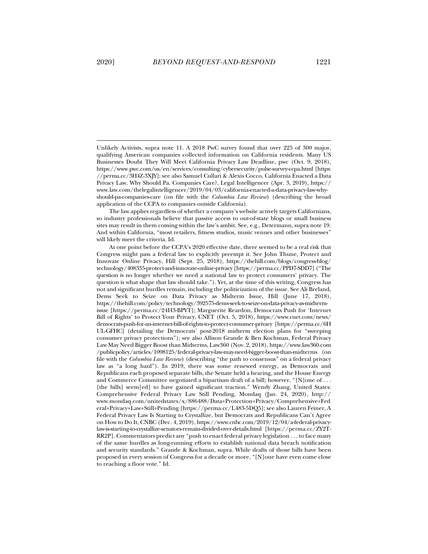j

Unlikely Activists, supra note 11. A 2018 PwC survey found that over 225 of 300 major, qualifying American companies collected information on California residents. Many US Businesses Doubt They Will Meet California Privacy Law Deadline, pwc (Oct. 9, 2018), https://www.pwc.com/us/en/services/consulting/cybersecurity/pulse-survey-ccpa.html [https: //perma.cc/3H4Z-3XJY]; see also Samuel Cullari & Alexis Cocco, California Enacted a Data Privacy Law. Why Should Pa. Companies Care?, Legal Intelligencer (Apr. 3, 2019), https:// www.law.com/thelegalintelligencer/2019/04/03/california-enacted-a-data-privacy-law-whyshould-pa-companies-care (on file with the *Columbia Law Review*) (describing the broad application of the CCPA to companies outside California).

The law applies regardless of whether a company's website actively targets Californians, so industry professionals believe that passive access to out-of-state blogs or small business sites may result in them coming within the law's ambit. See, e.g., Determann, supra note 19. And within California, "most retailers, fitness studios, music venues and other businesses" will likely meet the criteria. Id.

At one point before the CCPA's 2020 effective date, there seemed to be a real risk that Congress might pass a federal law to explicitly preempt it. See John Thune, Protect and Innovate Online Privacy, Hill (Sept. 25, 2018), https://thehill.com/blogs/congress-blog/ technology/408335-protect-and-innovate-online-privacy [https://perma.cc/PPD7-SDD7] ("The question is no longer whether we need a national law to protect consumers' privacy. The question is what shape that law should take."). Yet, at the time of this writing, Congress has not and significant hurdles remain, including the politicization of the issue. See Ali Breland, Dems Seek to Seize on Data Privacy as Midterm Issue, Hill (June 17, 2018), https://thehill.com/policy/technology/392575-dems-seek-to-seize-on-data-privacy-as-midtermissue [https://perma.cc/24H3-BPYT]; Marguerite Reardon, Democrats Push for 'Internet Bill of Rights' to Protect Your Privacy, CNET (Oct. 5, 2018), https://www.cnet.com/news/ democrats-push-for-an-internet-bill-of-rights-to-protect-consumer-privacy [https://perma.cc/6H UL-GFHC] (detailing the Democrats' post-2018 midterm election plans for "sweeping consumer privacy protections"); see also Allison Grande & Ben Kochman, Federal Privacy Law May Need Bigger Boost than Midterms, Law360 (Nov. 2, 2018), https://www.law360.com /publicpolicy/articles/1098125/federal-privacy-law-may-need-bigger-boost-than-midterms (on file with the *Columbia Law Review*) (describing "the path to consensus" on a federal privacy law as "a long haul"). In 2019, there was some renewed energy, as Democrats and Republicans each proposed separate bills, the Senate held a hearing, and the House Energy and Commerce Committee negotiated a bipartisan draft of a bill; however, "[N]one of . . . [the bills] seem[ed] to have gained significant traction." Wendy Zhang, United States: Comprehensive Federal Privacy Law Still Pending, Mondaq (Jan. 24, 2020), http:// www.mondaq.com/unitedstates/x/886488/Data+Protection+Privacy/Comprehensive+Fed eral+Privacy+Law+Still+Pending [https://perma.cc/L483-5DQ5]; see also Lauren Feiner, A Federal Privacy Law Is Starting to Crystallize, but Democrats and Republicans Can't Agree on How to Do It, CNBC (Dec. 4, 2019), https://www.cnbc.com/2019/12/04/a-federal-privacylaw-is-starting-to-crystallize-senators-remain-divided-over-details.html [https://perma.cc/ZY2T-RR2P]. Commentators predict any "push to enact federal privacy legislation . . . to face many of the same hurdles as long-running efforts to establish national data breach notification and security standards." Grande & Kochman, supra. While drafts of those bills have been proposed in every session of Congress for a decade or more, "[N]one have even come close to reaching a floor vote." Id.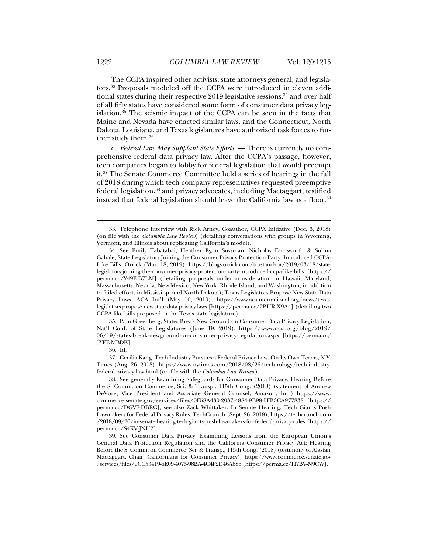The CCPA inspired other activists, state attorneys general, and legislators.<sup>33</sup> Proposals modeled off the CCPA were introduced in eleven additional states during their respective 2019 legislative sessions,<sup>34</sup> and over half of all fifty states have considered some form of consumer data privacy legislation.35 The seismic impact of the CCPA can be seen in the facts that Maine and Nevada have enacted similar laws, and the Connecticut, North Dakota, Louisiana, and Texas legislatures have authorized task forces to further study them.<sup>36</sup>

c. *Federal Law May Supplant State Efforts*. — There is currently no comprehensive federal data privacy law. After the CCPA's passage, however, tech companies began to lobby for federal legislation that would preempt it.37 The Senate Commerce Committee held a series of hearings in the fall of 2018 during which tech company representatives requested preemptive federal legislation,38 and privacy advocates, including Mactaggart, testified instead that federal legislation should leave the California law as a floor.<sup>39</sup>

 35. Pam Greenberg, States Break New Ground on Consumer Data Privacy Legislation, Nat'l Conf. of State Legislatures (June 19, 2019), https://www.ncsl.org/blog/2019/ 06/19/states-break-newground-on-consumer-privacy-regulation.aspx [https://perma.cc/ 5YEE-MBDK].

36. Id.

 37. Cecilia Kang, Tech Industry Pursues a Federal Privacy Law, On Its Own Terms, N.Y. Times (Aug. 26, 2018), https://www.nytimes.com/2018/08/26/technology/tech-industryfederal-privacy-law.html (on file with the *Columbia Law Review*).

 38. See generally Examining Safeguards for Consumer Data Privacy: Hearing Before the S. Comm. on Commerce, Sci. & Transp., 115th Cong. (2018) (statement of Andrew DeVore, Vice President and Associate General Counsel, Amazon, Inc.) https://www. commerce.senate.gov/services/files/0F58A430-2037-4884-9B98-5FB3CA977838 [https:// perma.cc/DGV7-DBRC]; see also Zack Whittaker, In Senate Hearing, Tech Giants Push Lawmakers for Federal Privacy Rules, TechCrunch (Sept. 26, 2018), https://techcrunch.com /2018/09/26/in-senate-hearing-tech-giants-push-lawmakers-for-federal-privacy-rules [https:// perma.cc/S4KV-JNU2].

 39. See Consumer Data Privacy: Examining Lessons from the European Union's General Data Protection Regulation and the California Consumer Privacy Act: Hearing Before the S. Comm. on Commerce, Sci. & Transp., 115th Cong. (2018) (testimony of Alastair Mactaggart, Chair, Californians for Consumer Privacy), https://www.commerce.senate.gov /services/files/9CC53419-6E09-4075-98BA-4C4F2D46A686 [https://perma.cc/H7BV-N9CW].

 <sup>33.</sup> Telephone Interview with Rick Arney, Coauthor, CCPA Initiative (Dec. 6, 2018) (on file with the *Columbia Law Review*) (detailing conversations with groups in Wyoming, Vermont, and Illinois about replicating California's model).

 <sup>34.</sup> See Emily Tabatabai, Heather Egan Sussman, Nicholas Farnsworth & Sulina Gabale, State Legislators Joining the Consumer Privacy Protection Party: Introduced CCPA-Like Bills, Orrick (Mar. 18, 2019), https://blogs.orrick.com/trustanchor/2019/03/18/statelegislators-joining-the-consumer-privacy-protection-party-introduced-ccpa-like-bills [https:// perma.cc/Y49E-B7LM] (detailing proposals under consideration in Hawaii, Maryland, Massachusetts, Nevada, New Mexico, New York, Rhode Island, and Washington, in addition to failed efforts in Mississippi and North Dakota); Texas Legislators Propose New State Data Privacy Laws, ACA Int'l (May 10, 2019), https://www.acainternational.org/news/texaslegislators-propose-new-state-data-privacy-laws [https://perma.cc/2BUR-X9A4] (detailing two CCPA-like bills proposed in the Texas state legislature).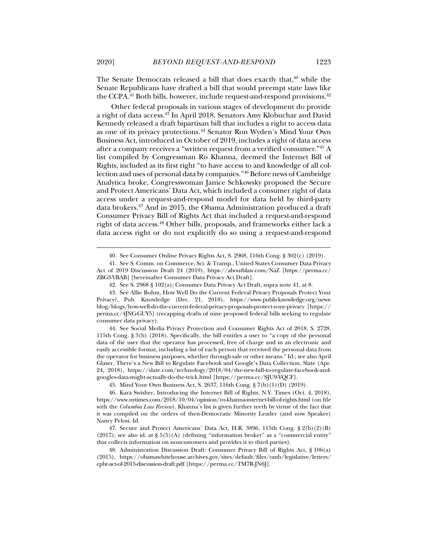The Senate Democrats released a bill that does exactly that, $40$  while the Senate Republicans have drafted a bill that would preempt state laws like the CCPA.<sup>41</sup> Both bills, however, include request-and-respond provisions.<sup>42</sup>

Other federal proposals in various stages of development do provide a right of data access.43 In April 2018, Senators Amy Klobuchar and David Kennedy released a draft bipartisan bill that includes a right to access data as one of its privacy protections.44 Senator Ron Wyden's Mind Your Own Business Act, introduced in October of 2019, includes a right of data access after a company receives a "written request from a verified consumer."45 A list compiled by Congressman Ro Khanna, deemed the Internet Bill of Rights, included as its first right "to have access to and knowledge of all collection and uses of personal data by companies."46 Before news of Cambridge Analytica broke, Congresswoman Janice Schkowsky proposed the Secure and Protect Americans' Data Act, which included a consumer right of data access under a request-and-respond model for data held by third-party data brokers.47 And in 2015, the Obama Administration produced a draft Consumer Privacy Bill of Rights Act that included a request-and-respond right of data access.48 Other bills, proposals, and frameworks either lack a data access right or do not explicitly do so using a request-and-respond

 <sup>40.</sup> See Consumer Online Privacy Rights Act, S. 2968, 116th Cong. § 302(c) (2019).

 <sup>41.</sup> See S. Comm. on Commerce, Sci. & Transp., United States Consumer Data Privacy Act of 2019 Discussion Draft 24 (2019), https://aboutblaw.com/NaZ [https://perma.cc/ ZBG3-VBAB] [hereinafter Consumer Data Privacy Act Draft].

 <sup>42.</sup> See S. 2968 § 102(a); Consumer Data Privacy Act Draft, supra note 41, at 8.

 <sup>43.</sup> See Allie Bohm, How Well Do the Current Federal Privacy Proposals Protect Your Privacy?, Pub. Knowledge (Dec. 21, 2018), https://www.publicknowledge.org/newsblog/blogs/how-well-do-the-current-federal-privacy-proposals-protect-your-privacy [https:// perma.cc/4JNG-GUY5] (recapping drafts of nine proposed federal bills seeking to regulate consumer data privacy).

 <sup>44.</sup> See Social Media Privacy Protection and Consumer Rights Act of 2018, S. 2728, 115th Cong. § 3(b) (2018). Specifically, the bill entitles a user to "a copy of the personal data of the user that the operator has processed, free of charge and in an electronic and easily accessible format, including a list of each person that received the personal data from the operator for business purposes, whether through sale or other means." Id.; see also April Glaser, There's a New Bill to Regulate Facebook and Google's Data Collection, Slate (Apr. 24, 2018), https://slate.com/technology/2018/04/the-new-bill-to-regulate-facebook-andgoogles-data-might-actually-do-the-trick.html [https://perma.cc/SJU9-YQCF].

 <sup>45.</sup> Mind Your Own Business Act, S. 2637, 116th Cong. § 7(b)(1)(D) (2019).

 <sup>46.</sup> Kara Swisher, Introducing the Internet Bill of Rights, N.Y. Times (Oct. 4, 2018), https://www.nytimes.com/2018/10/04/opinion/ro-khanna-internet-bill-of-rights.html (on file with the *Columbia Law Review*). Khanna's list is given further teeth by virtue of the fact that it was compiled on the orders of then-Democratic Minority Leader (and now Speaker) Nancy Pelosi. Id.

 <sup>47.</sup> Secure and Protect Americans' Data Act, H.R. 3896, 115th Cong. § 2(b)(2)(B)  $(2017)$ ; see also id. at  $\S 5(5)(A)$  (defining "information broker" as a "commercial entity" that collects information on noncustomers and provides it to third parties).

 <sup>48.</sup> Administration Discussion Draft: Consumer Privacy Bill of Rights Act, § 106(a) (2015), https://obamawhitehouse.archives.gov/sites/default/files/omb/legislative/letters/ cpbr-act-of-2015-discussion-draft.pdf [https://perma.cc/TM7R-JN6J].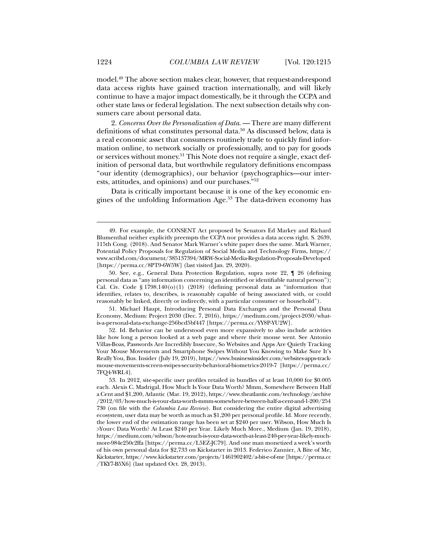model.49 The above section makes clear, however, that request-and-respond data access rights have gained traction internationally, and will likely continue to have a major impact domestically, be it through the CCPA and other state laws or federal legislation. The next subsection details why consumers care about personal data.

2. *Concerns Over the Personalization of Data*. — There are many different definitions of what constitutes personal data.<sup>50</sup> As discussed below, data is a real economic asset that consumers routinely trade to quickly find information online, to network socially or professionally, and to pay for goods or services without money.51 This Note does not require a single, exact definition of personal data, but worthwhile regulatory definitions encompass "our identity (demographics), our behavior (psychographics—our interests, attitudes, and opinions) and our purchases."52

Data is critically important because it is one of the key economic engines of the unfolding Information Age.53 The data-driven economy has

 51. Michael Haupt, Introducing Personal Data Exchanges and the Personal Data Economy, Medium: Project 2030 (Dec. 7, 2016), https://medium.com/project-2030/whatis-a-personal-data-exchange-256bcd5bf447 [https://perma.cc/YY8P-YU2W].

 <sup>49.</sup> For example, the CONSENT Act proposed by Senators Ed Markey and Richard Blumenthal neither explicitly preempts the CCPA nor provides a data access right. S. 2639, 115th Cong. (2018). And Senator Mark Warner's white paper does the same. Mark Warner, Potential Policy Proposals for Regulation of Social Media and Technology Firms, https:// www.scribd.com/document/385137394/MRW-Social-Media-Regulation-Proposals-Developed [https://perma.cc/8PT9-6W5W] (last visited Jan. 29, 2020).

 <sup>50.</sup> See, e.g., General Data Protection Regulation, supra note 22, ¶ 26 (defining personal data as "any information concerning an identified or identifiable natural person"); Cal. Civ. Code § 1798.140(o)(1) (2018) (defining personal data as "information that identifies, relates to, describes, is reasonably capable of being associated with, or could reasonably be linked, directly or indirectly, with a particular consumer or household").

 <sup>52.</sup> Id. Behavior can be understood even more expansively to also include activities like how long a person looked at a web page and where their mouse went. See Antonio Villas-Boas, Passwords Are Incredibly Insecure, So Websites and Apps Are Quietly Tracking Your Mouse Movements and Smartphone Swipes Without You Knowing to Make Sure It's Really You, Bus. Insider (July 19, 2019), https://www.businessinsider.com/websites-apps-trackmouse-movements-screen-swipes-security-behavioral-biometrics-2019-7 [https://perma.cc/ 7FQ4-WRL4].

 <sup>53.</sup> In 2012, site-specific user profiles retailed in bundles of at least 10,000 for \$0.005 each. Alexis C. Madrigal, How Much Is Your Data Worth? Mmm, Somewhere Between Half a Cent and \$1,200, Atlantic (Mar. 19, 2012), https://www.theatlantic.com/technology/archive /2012/03/how-much-is-your-data-worth-mmm-somewhere-between-half-a-cent-and-1-200/254 730 (on file with the *Columbia Law Review*). But considering the entire digital advertising ecosystem, user data may be worth as much as \$1,200 per personal profile. Id. More recently, the lower end of the estimation range has been set at \$240 per user. Wibson, How Much Is >Your< Data Worth? At Least \$240 per Year. Likely Much More., Medium (Jan. 19, 2018), https://medium.com/wibson/how-much-is-your-data-worth-at-least-240-per-year-likely-muchmore-984e250c2ffa [https://perma.cc/L5EZ-JC79]. And one man monetized a week's worth of his own personal data for \$2,733 on Kickstarter in 2013. Federico Zannier, A Bite of Me, Kickstarter, https://www.kickstarter.com/projects/1461902402/a-bit-e-of-me [https://perma.cc /TKY7-B5X6] (last updated Oct. 28, 2013).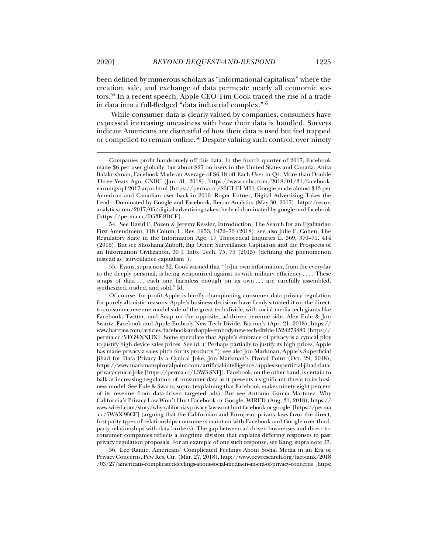been defined by numerous scholars as "informational capitalism" where the creation, sale, and exchange of data permeate nearly all economic sectors.54 In a recent speech, Apple CEO Tim Cook traced the rise of a trade in data into a full-fledged "data industrial complex."55

While consumer data is clearly valued by companies, consumers have expressed increasing uneasiness with how their data is handled. Surveys indicate Americans are distrustful of how their data is used but feel trapped or compelled to remain online.56 Despite valuing such control, over ninety

 54. See David E. Pozen & Jeremy Kessler, Introduction, The Search for an Egalitarian First Amendment, 118 Colum. L. Rev. 1953, 1972–73 (2018); see also Julie E. Cohen, The Regulatory State in the Information Age, 17 Theoretical Inquiries L. 369, 370–71, 414 (2016). But see Shoshana Zuboff, Big Other: Surveillance Capitalism and the Prospects of an Information Civilization, 30 J. Info. Tech. 75, 75 (2015) (defining the phenomenon instead as "surveillance capitalism").

 55. Evans, supra note 32. Cook warned that "[o]ur own information, from the everyday to the deeply personal, is being weaponized against us with military efficiency . . . . These scraps of data . . . each one harmless enough on its own . . . are carefully assembled, synthesized, traded, and sold." Id.

Of course, for-profit Apple is hardly championing consumer data privacy regulation for purely altruistic reasons. Apple's business decisions have firmly situated it on the directto-consumer revenue model side of the great tech divide, with social media tech giants like Facebook, Twitter, and Snap on the opposite, ad-driven revenue side. Alex Eule & Jon Swartz, Facebook and Apple Embody New Tech Divide, Barron's (Apr. 21, 2018), https:// www.barrons.com/articles/facebook-and-apple-embody-new-tech-divide-1524273880 [https:// perma.cc/VFG9-XXHX]. Some speculate that Apple's embrace of privacy is a cynical ploy to justify high device sales prices. See id. ("Perhaps partially to justify its high prices, Apple has made privacy a sales pitch for its products."); see also Jon Markman, Apple's Superficial Jihad for Data Privacy Is a Cynical Joke, Jon Markman's Pivotal Point (Oct. 29, 2018), https://www.markmanspivotalpoint.com/artificial-intelligence/apples-superficial-jihad-dataprivacy-cynical-joke [https://perma.cc/L3W3-SNFJ]. Facebook, on the other hand, is certain to balk at increasing regulation of consumer data as it presents a significant threat to its business model. See Eule & Swartz, supra (explaining that Facebook makes ninety-eight percent of its revenue from data-driven targeted ads). But see Antonio García Martínez, Why California's Privacy Law Won't Hurt Facebook or Google, WIRED (Aug. 31, 2018), https:// www.wired.com/story/why-californias-privacy-law-wont-hurt-facebook-or-google [https://perma .cc/5WAX-95CF] (arguing that the Californian and European privacy laws favor the direct, first-party types of relationships consumers maintain with Facebook and Google over thirdparty relationships with data brokers). The gap between ad-driven businesses and direct-toconsumer companies reflects a longtime division that explains differing responses to past privacy regulation proposals. For an example of one such response, see Kang, supra note 37.

 56. Lee Rainie, Americans' Complicated Feelings About Social Media in an Era of Privacy Concerns, Pew Res. Ctr. (Mar. 27, 2018), http://www.pewresearch.org/fact-tank/2018 /03/27/americans-complicated-feelings-about-social-media-in-an-era-of-privacy-concerns [https:

Companies profit handsomely off this data. In the fourth quarter of 2017, Facebook made \$6 per user globally, but about \$27 on users in the United States and Canada. Anita Balakrishnan, Facebook Made an Average of \$6.18 off Each User in Q4, More than Double Three Years Ago, CNBC (Jan. 31, 2018), https://www.cnbc.com/2018/01/31/facebookearnings-q4-2017-arpu.html [https://perma.cc/S6CT-ELM5]. Google made almost \$13 per American and Canadian user back in 2016. Roger Entner, Digital Advertising Takes the Lead—Dominated by Google and Facebook, Recon Analytics (May 30, 2017), http://recon analytics.com/2017/05/digital-advertising-takes-the-lead-dominated-by-google-and-facebook [https://perma.cc/D53F-8DCE].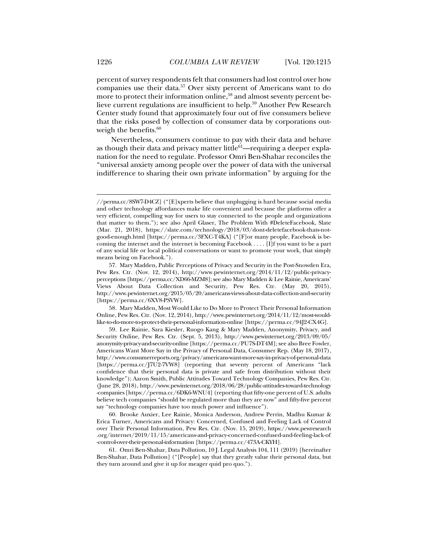percent of survey respondents felt that consumers had lost control over how companies use their data.57 Over sixty percent of Americans want to do more to protect their information online,<sup>58</sup> and almost seventy percent believe current regulations are insufficient to help.59 Another Pew Research Center study found that approximately four out of five consumers believe that the risks posed by collection of consumer data by corporations outweigh the benefits.<sup>60</sup>

Nevertheless, consumers continue to pay with their data and behave as though their data and privacy matter little $61$ —requiring a deeper explanation for the need to regulate. Professor Omri Ben-Shahar reconciles the "universal anxiety among people over the power of data with the universal indifference to sharing their own private information" by arguing for the

 58. Mary Madden, Most Would Like to Do More to Protect Their Personal Information Online, Pew Res. Ctr. (Nov. 12, 2014), http://www.pewinternet.org/2014/11/12/most-wouldlike-to-do-more-to-protect-their-personal-information-online [https://perma.cc/94J2-CX4G].

<sup>//</sup>perma.cc/8SW7-D4CZ] ("[E]xperts believe that unplugging is hard because social media and other technology affordances make life convenient and because the platforms offer a very efficient, compelling way for users to stay connected to the people and organizations that matter to them."); see also April Glaser, The Problem With #DeleteFacebook, Slate (Mar. 21, 2018), https://slate.com/technology/2018/03/dont-deletefacebook-thats-notgood-enough.html [https://perma.cc/3FXC-T4KA] ("[F]or many people, Facebook is becoming the internet and the internet is becoming Facebook . . . . [I]f you want to be a part of any social life or local political conversations or want to promote your work, that simply means being on Facebook.").

 <sup>57.</sup> Mary Madden, Public Perceptions of Privacy and Security in the Post-Snowden Era, Pew Res. Ctr. (Nov. 12, 2014), http://www.pewinternet.org/2014/11/12/public-privacyperceptions [https://perma.cc/XD66-MZM8]; see also Mary Madden & Lee Rainie, Americans' Views About Data Collection and Security, Pew Res. Ctr. (May 20, 2015), http://www.pewinternet.org/2015/05/20/americans-views-about-data-collection-and-security [https://perma.cc/6XV8-PSVW].

 <sup>59.</sup> Lee Rainie, Sara Kiesler, Ruogo Kang & Mary Madden, Anonymity, Privacy, and Security Online, Pew Res. Ctr. (Sept. 5, 2013), http://www.pewinternet.org/2013/09/05/ anonymity-privacy-and-security-online [https://perma.cc/PU7S-DT4M]; see also Bree Fowler, Americans Want More Say in the Privacy of Personal Data, Consumer Rep. (May 18, 2017), http://www.consumerreports.org/privacy/americans-want-more-say-in-privacy-of-personal-data [https://perma.cc/J7U2-7VW8] (reporting that seventy percent of Americans "lack confidence that their personal data is private and safe from distribution without their knowledge"); Aaron Smith, Public Attitudes Toward Technology Companies, Pew Res. Ctr. (June 28, 2018), http://www.pewinternet.org/2018/06/28/public-attitudes-toward-technology -companies [https://perma.cc/6DK6-WNU4] (reporting that fifty-one percent of U.S. adults believe tech companies "should be regulated more than they are now" and fifty-five percent say "technology companies have too much power and influence").

 <sup>60.</sup> Brooke Auxier, Lee Rainie, Monica Anderson, Andrew Perrin, Madhu Kumar & Erica Turner, Americans and Privacy: Concerned, Confused and Feeling Lack of Control over Their Personal Information, Pew Res. Ctr. (Nov. 15, 2019), https://www.pewresearch .org/internet/2019/11/15/americans-and-privacy-concerned-confused-and-feeling-lack-of -control-over-their-personal-information [https://perma.cc/473A-CKYH].

 <sup>61.</sup> Omri Ben-Shahar, Data Pollution, 10 J. Legal Analysis 104, 111 (2019) [hereinafter Ben-Shahar, Data Pollution] ("[People] say that they greatly value their personal data, but they turn around and give it up for meager quid pro quo.").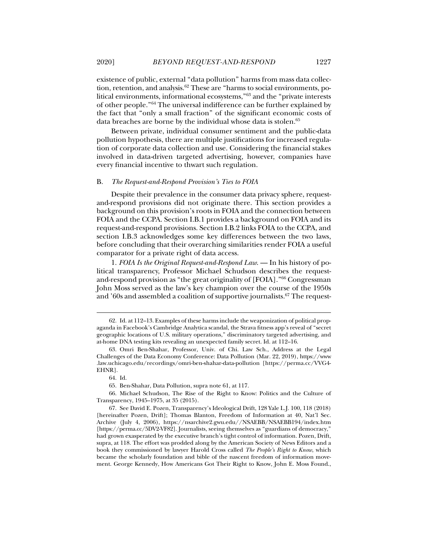existence of public, external "data pollution" harms from mass data collection, retention, and analysis.<sup>62</sup> These are "harms to social environments, political environments, informational ecosystems,"63 and the "private interests of other people."64 The universal indifference can be further explained by the fact that "only a small fraction" of the significant economic costs of data breaches are borne by the individual whose data is stolen.65

Between private, individual consumer sentiment and the public-data pollution hypothesis, there are multiple justifications for increased regulation of corporate data collection and use. Considering the financial stakes involved in data-driven targeted advertising, however, companies have every financial incentive to thwart such regulation.

#### B. *The Request-and-Respond Provision's Ties to FOIA*

Despite their prevalence in the consumer data privacy sphere, requestand-respond provisions did not originate there. This section provides a background on this provision's roots in FOIA and the connection between FOIA and the CCPA. Section I.B.1 provides a background on FOIA and its request-and-respond provisions. Section I.B.2 links FOIA to the CCPA, and section I.B.3 acknowledges some key differences between the two laws, before concluding that their overarching similarities render FOIA a useful comparator for a private right of data access.

1. *FOIA Is the Original Request-and-Respond Law*. — In his history of political transparency, Professor Michael Schudson describes the requestand-respond provision as "the great originality of [FOIA]."66 Congressman John Moss served as the law's key champion over the course of the 1950s and '60s and assembled a coalition of supportive journalists.67 The request-

j

65. Ben-Shahar, Data Pollution, supra note 61, at 117.

 66. Michael Schudson, The Rise of the Right to Know: Politics and the Culture of Transparency, 1945–1975, at 35 (2015).

 <sup>62.</sup> Id. at 112–13. Examples of these harms include the weaponization of political propaganda in Facebook's Cambridge Analytica scandal, the Strava fitness app's reveal of "secret geographic locations of U.S. military operations," discriminatory targeted advertising, and at-home DNA testing kits revealing an unexpected family secret. Id. at 112–16.

 <sup>63.</sup> Omri Ben-Shahar, Professor, Univ. of Chi. Law Sch., Address at the Legal Challenges of the Data Economy Conference: Data Pollution (Mar. 22, 2019), https://www .law.uchicago.edu/recordings/omri-ben-shahar-data-pollution [https://perma.cc/VVG4- EHNR].

 <sup>64.</sup> Id.

 <sup>67.</sup> See David E. Pozen, Transparency's Ideological Drift, 128 Yale L.J. 100, 118 (2018) [hereinafter Pozen, Drift]; Thomas Blanton, Freedom of Information at 40, Nat'l Sec. Archive (July 4, 2006), https://nsarchive2.gwu.edu//NSAEBB/NSAEBB194/index.htm [https://perma.cc/5DV2-VF82]. Journalists, seeing themselves as "guardians of democracy," had grown exasperated by the executive branch's tight control of information. Pozen, Drift, supra, at 118. The effort was prodded along by the American Society of News Editors and a book they commissioned by lawyer Harold Cross called *The People's Right to Know*, which became the scholarly foundation and bible of the nascent freedom of information movement. George Kennedy, How Americans Got Their Right to Know, John E. Moss Found.,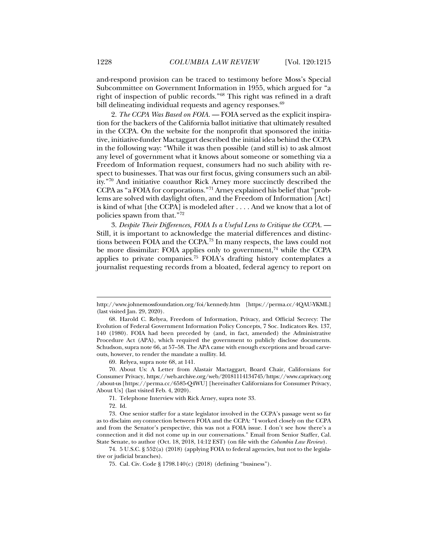and-respond provision can be traced to testimony before Moss's Special Subcommittee on Government Information in 1955, which argued for "a right of inspection of public records."68 This right was refined in a draft bill delineating individual requests and agency responses.<sup>69</sup>

2. *The CCPA Was Based on FOIA*. — FOIA served as the explicit inspiration for the backers of the California ballot initiative that ultimately resulted in the CCPA. On the website for the nonprofit that sponsored the initiative, initiative-funder Mactaggart described the initial idea behind the CCPA in the following way: "While it was then possible (and still is) to ask almost any level of government what it knows about someone or something via a Freedom of Information request, consumers had no such ability with respect to businesses. That was our first focus, giving consumers such an ability."70 And initiative coauthor Rick Arney more succinctly described the CCPA as "a FOIA for corporations."71 Arney explained his belief that "problems are solved with daylight often, and the Freedom of Information [Act] is kind of what [the CCPA] is modeled after . . . . And we know that a lot of policies spawn from that."72

3. *Despite Their Differences, FOIA Is a Useful Lens to Critique the CCPA*. — Still, it is important to acknowledge the material differences and distinctions between FOIA and the CCPA.73 In many respects, the laws could not be more dissimilar: FOIA applies only to government, $74$  while the CCPA applies to private companies.75 FOIA's drafting history contemplates a journalist requesting records from a bloated, federal agency to report on

69. Relyea, supra note 68, at 141.

 70. About Us: A Letter from Alastair Mactaggart, Board Chair, Californians for Consumer Privacy, https://web.archive.org/web/20181114134745/https://www.caprivacy.org /about-us [https://perma.cc/6585-Q4WU] [hereinafter Californians for Consumer Privacy, About Us] (last visited Feb. 4, 2020).

71. Telephone Interview with Rick Arney, supra note 33.

j

 73. One senior staffer for a state legislator involved in the CCPA's passage went so far as to disclaim *any* connection between FOIA and the CCPA: "I worked closely on the CCPA and from the Senator's perspective, this was not a FOIA issue. I don't see how there's a connection and it did not come up in our conversations." Email from Senior Staffer, Cal. State Senate, to author (Oct. 18, 2018, 14:12 EST) (on file with the *Columbia Law Review*).

 74. 5 U.S.C. § 552(a) (2018) (applying FOIA to federal agencies, but not to the legislative or judicial branches).

http://www.johnemossfoundation.org/foi/kennedy.htm [https://perma.cc/4QAU-YKML] (last visited Jan. 29, 2020).

 <sup>68.</sup> Harold C. Relyea, Freedom of Information, Privacy, and Official Secrecy: The Evolution of Federal Government Information Policy Concepts, 7 Soc. Indicators Res. 137, 140 (1980). FOIA had been preceded by (and, in fact, amended) the Administrative Procedure Act (APA), which required the government to publicly disclose documents. Schudson, supra note 66, at 57–58. The APA came with enough exceptions and broad carveouts, however, to render the mandate a nullity. Id.

 <sup>72.</sup> Id.

 <sup>75.</sup> Cal. Civ. Code § 1798.140(c) (2018) (defining "business").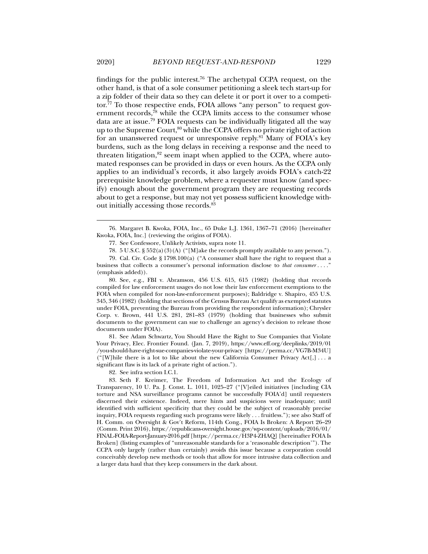findings for the public interest.<sup>76</sup> The archetypal CCPA request, on the other hand, is that of a sole consumer petitioning a sleek tech start-up for a zip folder of their data so they can delete it or port it over to a competitor.77 To those respective ends, FOIA allows "any person" to request government records, $78$  while the CCPA limits access to the consumer whose data are at issue.79 FOIA requests can be individually litigated all the way up to the Supreme Court,<sup>80</sup> while the CCPA offers no private right of action for an unanswered request or unresponsive reply.81 Many of FOIA's key burdens, such as the long delays in receiving a response and the need to threaten litigation, $82$  seem inapt when applied to the CCPA, where automated responses can be provided in days or even hours. As the CCPA only applies to an individual's records, it also largely avoids FOIA's catch-22 prerequisite knowledge problem, where a requester must know (and specify) enough about the government program they are requesting records about to get a response, but may not yet possess sufficient knowledge without initially accessing those records.83

 76. Margaret B. Kwoka, FOIA, Inc., 65 Duke L.J. 1361, 1367–71 (2016) [hereinafter Kwoka, FOIA, Inc.] (reviewing the origins of FOIA).

77. See Confessore, Unlikely Activists, supra note 11.

78. 5 U.S.C. § 552(a)(3)(A) ("[M]ake the records promptly available to any person.").

 79. Cal. Civ. Code § 1798.100(a) ("A consumer shall have the right to request that a business that collects a consumer's personal information disclose to *that consumer* . . . ." (emphasis added)).

 80. See, e.g., FBI v. Abramson, 456 U.S. 615, 615 (1982) (holding that records compiled for law enforcement usages do not lose their law enforcement exemptions to the FOIA when compiled for non-law-enforcement purposes); Baldridge v. Shapiro, 455 U.S. 345, 346 (1982) (holding that sections of the Census Bureau Act qualify as exempted statutes under FOIA, preventing the Bureau from providing the respondent information); Chrysler Corp. v. Brown, 441 U.S. 281, 281–83 (1979) (holding that businesses who submit documents to the government can sue to challenge an agency's decision to release those documents under FOIA).

 81. See Adam Schwartz, You Should Have the Right to Sue Companies that Violate Your Privacy, Elec. Frontier Found. (Jan. 7, 2019), https://www.eff.org/deeplinks/2019/01 /you-should-have-right-sue-companies-violate-your-privacy [https://perma.cc/VG7B-M34U] ("[W]hile there is a lot to like about the new California Consumer Privacy Act[,] . . . a significant flaw is its lack of a private right of action.").

82. See infra section I.C.1.

 <sup>83.</sup> Seth F. Kreimer, The Freedom of Information Act and the Ecology of Transparency, 10 U. Pa. J. Const. L. 1011, 1025–27 ("[V]eiled initiatives [including CIA torture and NSA surveillance programs cannot be successfully FOIA'd] until requesters discerned their existence. Indeed, mere hints and suspicions were inadequate; until identified with sufficient specificity that they could be the subject of reasonably precise inquiry, FOIA requests regarding such programs were likely . . . fruitless."); see also Staff of H. Comm. on Oversight & Gov't Reform, 114th Cong., FOIA Is Broken: A Report 26–29 (Comm. Print 2016), https://republicans-oversight.house.gov/wp-content/uploads/2016/01/ FINAL-FOIA-Report-January-2016.pdf [https://perma.cc/H3P4-ZHAQ] [hereinafter FOIA Is Broken] (listing examples of "unreasonable standards for a 'reasonable description'"). The CCPA only largely (rather than certainly) avoids this issue because a corporation could conceivably develop new methods or tools that allow for more intrusive data collection and a larger data haul that they keep consumers in the dark about.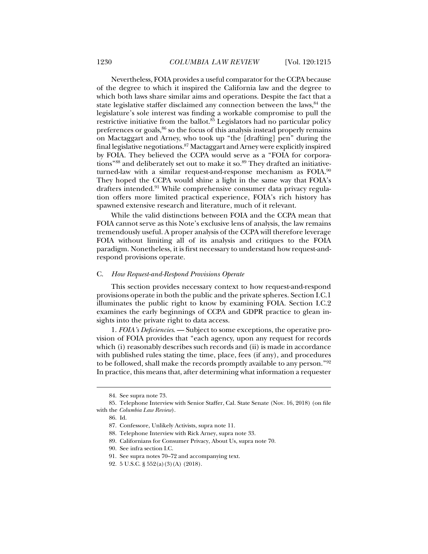Nevertheless, FOIA provides a useful comparator for the CCPA because of the degree to which it inspired the California law and the degree to which both laws share similar aims and operations. Despite the fact that a state legislative staffer disclaimed any connection between the laws,  $84$  the legislature's sole interest was finding a workable compromise to pull the restrictive initiative from the ballot. $85$  Legislators had no particular policy preferences or goals, $86$  so the focus of this analysis instead properly remains on Mactaggart and Arney, who took up "the [drafting] pen" during the final legislative negotiations.87 Mactaggart and Arney were explicitly inspired by FOIA. They believed the CCPA would serve as a "FOIA for corporations"<sup>88</sup> and deliberately set out to make it so.<sup>89</sup> They drafted an initiativeturned-law with a similar request-and-response mechanism as FOIA.90 They hoped the CCPA would shine a light in the same way that FOIA's drafters intended.<sup>91</sup> While comprehensive consumer data privacy regulation offers more limited practical experience, FOIA's rich history has spawned extensive research and literature, much of it relevant.

While the valid distinctions between FOIA and the CCPA mean that FOIA cannot serve as this Note's exclusive lens of analysis, the law remains tremendously useful. A proper analysis of the CCPA will therefore leverage FOIA without limiting all of its analysis and critiques to the FOIA paradigm. Nonetheless, it is first necessary to understand how request-andrespond provisions operate.

#### C. *How Request-and-Respond Provisions Operate*

This section provides necessary context to how request-and-respond provisions operate in both the public and the private spheres. Section I.C.1 illuminates the public right to know by examining FOIA. Section I.C.2 examines the early beginnings of CCPA and GDPR practice to glean insights into the private right to data access.

1. *FOIA's Deficiencies*. — Subject to some exceptions, the operative provision of FOIA provides that "each agency, upon any request for records which (i) reasonably describes such records and (ii) is made in accordance with published rules stating the time, place, fees (if any), and procedures to be followed, shall make the records promptly available to any person."92 In practice, this means that, after determining what information a requester

 <sup>84.</sup> See supra note 73.

 <sup>85.</sup> Telephone Interview with Senior Staffer, Cal. State Senate (Nov. 16, 2018) (on file with the *Columbia Law Review*).

 <sup>86.</sup> Id.

 <sup>87.</sup> Confessore, Unlikely Activists, supra note 11.

 <sup>88.</sup> Telephone Interview with Rick Arney, supra note 33.

 <sup>89.</sup> Californians for Consumer Privacy, About Us, supra note 70.

 <sup>90.</sup> See infra section I.C.

 <sup>91.</sup> See supra notes 70–72 and accompanying text.

 <sup>92. 5</sup> U.S.C. § 552(a)(3)(A) (2018).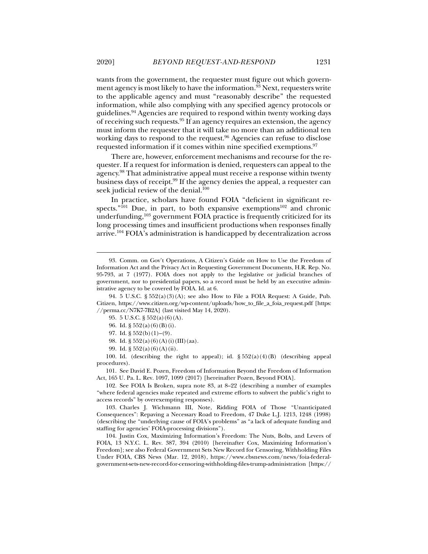wants from the government, the requester must figure out which government agency is most likely to have the information.<sup>93</sup> Next, requesters write to the applicable agency and must "reasonably describe" the requested information, while also complying with any specified agency protocols or guidelines.94 Agencies are required to respond within twenty working days of receiving such requests.95 If an agency requires an extension, the agency must inform the requester that it will take no more than an additional ten working days to respond to the request.<sup>96</sup> Agencies can refuse to disclose requested information if it comes within nine specified exemptions.97

There are, however, enforcement mechanisms and recourse for the requester. If a request for information is denied, requesters can appeal to the agency.98 That administrative appeal must receive a response within twenty business days of receipt.99 If the agency denies the appeal, a requester can seek judicial review of the denial.<sup>100</sup>

In practice, scholars have found FOIA "deficient in significant respects." $101$  Due, in part, to both expansive exemptions<sup>102</sup> and chronic underfunding,103 government FOIA practice is frequently criticized for its long processing times and insufficient productions when responses finally arrive.104 FOIA's administration is handicapped by decentralization across

99. Id. § 552(a)(6)(A)(ii).

100. Id. (describing the right to appeal); id.  $\S 552(a)(4)(B)$  (describing appeal procedures).

 101. See David E. Pozen, Freedom of Information Beyond the Freedom of Information Act, 165 U. Pa. L. Rev. 1097, 1099 (2017) [hereinafter Pozen, Beyond FOIA].

 102. See FOIA Is Broken, supra note 83, at 8–22 (describing a number of examples "where federal agencies make repeated and extreme efforts to subvert the public's right to access records" by overexempting responses).

 103. Charles J. Wichmann III, Note, Ridding FOIA of Those "Unanticipated Consequences": Repaving a Necessary Road to Freedom, 47 Duke L.J. 1213, 1248 (1998) (describing the "underlying cause of FOIA's problems" as "a lack of adequate funding and staffing for agencies' FOIA-processing divisions").

 104. Justin Cox, Maximizing Information's Freedom: The Nuts, Bolts, and Levers of FOIA, 13 N.Y.C. L. Rev. 387, 394 (2010) [hereinafter Cox, Maximizing Information's Freedom]; see also Federal Government Sets New Record for Censoring, Withholding Files Under FOIA, CBS News (Mar. 12, 2018), https://www.cbsnews.com/news/foia-federalgovernment-sets-new-record-for-censoring-withholding-files-trump-administration [https://

 <sup>93.</sup> Comm. on Gov't Operations, A Citizen's Guide on How to Use the Freedom of Information Act and the Privacy Act in Requesting Government Documents, H.R. Rep. No. 95-793, at 7 (1977). FOIA does not apply to the legislative or judicial branches of government, nor to presidential papers, so a record must be held by an executive administrative agency to be covered by FOIA. Id. at 6.

 <sup>94. 5</sup> U.S.C. § 552(a)(3)(A); see also How to File a FOIA Request: A Guide, Pub. Citizen, https://www.citizen.org/wp-content/uploads/how\_to\_file\_a\_foia\_request.pdf [https: //perma.cc/N7K7-7B2A] (last visited May 14, 2020).

 <sup>95. 5</sup> U.S.C. § 552(a)(6)(A).

 <sup>96.</sup> Id. § 552(a)(6)(B)(i).

<sup>97.</sup> Id.  $\S 552(b)(1)-(9)$ .

 <sup>98.</sup> Id. § 552(a)(6)(A)(i)(III)(aa).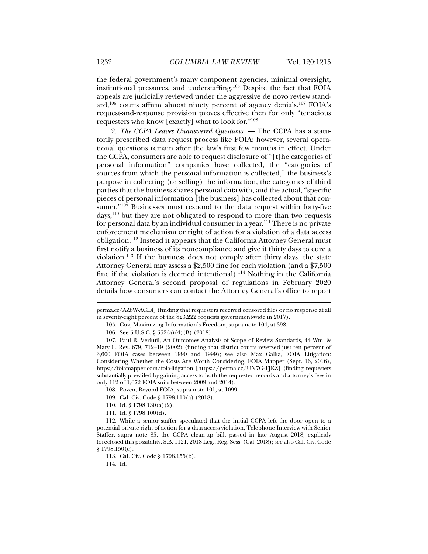the federal government's many component agencies, minimal oversight, institutional pressures, and understaffing.105 Despite the fact that FOIA appeals are judicially reviewed under the aggressive de novo review standard,106 courts affirm almost ninety percent of agency denials.107 FOIA's request-and-response provision proves effective then for only "tenacious requesters who know [exactly] what to look for."108

2. *The CCPA Leaves Unanswered Questions*. — The CCPA has a statutorily prescribed data request process like FOIA; however, several operational questions remain after the law's first few months in effect. Under the CCPA, consumers are able to request disclosure of "[t]he categories of personal information" companies have collected, the "categories of sources from which the personal information is collected," the business's purpose in collecting (or selling) the information, the categories of third parties that the business shares personal data with, and the actual, "specific pieces of personal information [the business] has collected about that consumer."109 Businesses must respond to the data request within forty-five days,<sup>110</sup> but they are not obligated to respond to more than two requests for personal data by an individual consumer in a year.111 There is no private enforcement mechanism or right of action for a violation of a data access obligation.112 Instead it appears that the California Attorney General must first notify a business of its noncompliance and give it thirty days to cure a violation.113 If the business does not comply after thirty days, the state Attorney General may assess a \$2,500 fine for each violation (and a \$7,500 fine if the violation is deemed intentional).<sup>114</sup> Nothing in the California Attorney General's second proposal of regulations in February 2020 details how consumers can contact the Attorney General's office to report

108. Pozen, Beyond FOIA, supra note 101, at 1099.

- 109. Cal. Civ. Code § 1798.110(a) (2018).
- 110. Id. § 1798.130(a)(2).
- 111. Id. § 1798.100(d).

114. Id.

perma.cc/AZ8W-ACL4] (finding that requesters received censored files or no response at all in seventy-eight percent of the 823,222 requests government-wide in 2017).

 <sup>105.</sup> Cox, Maximizing Information's Freedom, supra note 104, at 398.

 <sup>106.</sup> See 5 U.S.C. § 552(a)(4)(B) (2018).

 <sup>107.</sup> Paul R. Verkuil, An Outcomes Analysis of Scope of Review Standards, 44 Wm. & Mary L. Rev. 679, 712–19 (2002) (finding that district courts reversed just ten percent of 3,600 FOIA cases between 1990 and 1999); see also Max Galka, FOIA Litigation: Considering Whether the Costs Are Worth Considering, FOIA Mapper (Sept. 16, 2016), https://foiamapper.com/foia-litigation [https://perma.cc/UN7G-TJKZ] (finding requesters substantially prevailed by gaining access to both the requested records and attorney's fees in only 112 of 1,672 FOIA suits between 2009 and 2014).

 <sup>112.</sup> While a senior staffer speculated that the initial CCPA left the door open to a potential private right of action for a data access violation, Telephone Interview with Senior Staffer, supra note 85, the CCPA clean-up bill, passed in late August 2018, explicitly foreclosed this possibility. S.B. 1121, 2018 Leg., Reg. Sess. (Cal. 2018); see also Cal. Civ. Code  $§ 1798.150(c).$ 

 <sup>113.</sup> Cal. Civ. Code § 1798.155(b).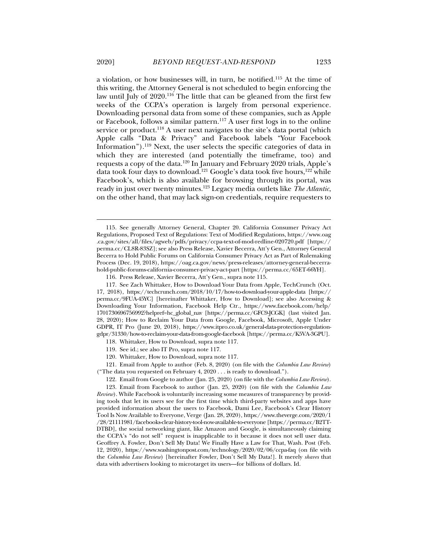a violation, or how businesses will, in turn, be notified.115 At the time of this writing, the Attorney General is not scheduled to begin enforcing the law until July of 2020.<sup>116</sup> The little that can be gleaned from the first few weeks of the CCPA's operation is largely from personal experience. Downloading personal data from some of these companies, such as Apple or Facebook, follows a similar pattern.117 A user first logs in to the online service or product.<sup>118</sup> A user next navigates to the site's data portal (which Apple calls "Data & Privacy" and Facebook labels "Your Facebook Information").<sup>119</sup> Next, the user selects the specific categories of data in which they are interested (and potentially the timeframe, too) and requests a copy of the data.120 In January and February 2020 trials, Apple's data took four days to download.<sup>121</sup> Google's data took five hours,<sup>122</sup> while Facebook's, which is also available for browsing through its portal, was ready in just over twenty minutes.123 Legacy media outlets like *The Atlantic*, on the other hand, that may lack sign-on credentials, require requesters to

 117. See Zach Whittaker, How to Download Your Data from Apple, TechCrunch (Oct. 17, 2018), https://techcrunch.com/2018/10/17/how-to-download-your-apple-data [https:// perma.cc/9FUA-45YC] [hereinafter Whittaker, How to Download]; see also Accessing & Downloading Your Information, Facebook Help Ctr., https://www.facebook.com/help/ 1701730696756992?helpref=hc\_global\_nav [https://perma.cc/GFC9-JCGK] (last visited Jan. 28, 2020); How to Reclaim Your Data from Google, Facebook, Microsoft, Apple Under GDPR, IT Pro (June 20, 2018), https://www.itpro.co.uk/general-data-protection-regulationgdpr/31330/how-to-reclaim-your-data-from-google-facebook [https://perma.cc/K5VA-3GPU].

- 119. See id.; see also IT Pro, supra note 117.
- 120. Whittaker, How to Download, supra note 117.

 121. Email from Apple to author (Feb. 8, 2020) (on file with the *Columbia Law Review*) ("The data you requested on February 4, 2020 . . . is ready to download.").

122. Email from Google to author (Jan. 25, 2020) (on file with the *Columbia Law Review*).

 123. Email from Facebook to author (Jan. 25, 2020) (on file with the *Columbia Law Review*). While Facebook is voluntarily increasing some measures of transparency by providing tools that let its users see for the first time which third-party websites and apps have provided information about the users to Facebook, Dami Lee, Facebook's Clear History Tool Is Now Available to Everyone, Verge (Jan. 28, 2020), https://www.theverge.com/2020/1 /28/21111981/facebooks-clear-history-tool-now-available-to-everyone [https://perma.cc/B2TT-DTBD], the social networking giant, like Amazon and Google, is simultaneously claiming the CCPA's "do not sell" request is inapplicable to it because it does not sell user data. Geoffrey A. Fowler, Don't Sell My Data! We Finally Have a Law for That, Wash. Post (Feb. 12, 2020), https://www.washingtonpost.com/technology/2020/02/06/ccpa-faq (on file with the *Columbia Law Review*) [hereinafter Fowler, Don't Sell My Data!]. It merely *shares* that data with advertisers looking to microtarget its users—for billions of dollars. Id.

 <sup>115.</sup> See generally Attorney General, Chapter 20. California Consumer Privacy Act Regulations, Proposed Text of Regulations: Text of Modified Regulations, https://www.oag .ca.gov/sites/all/files/agweb/pdfs/privacy/ccpa-text-of-mod-redline-020720.pdf [https:// perma.cc/CL8R-83SZ]; see also Press Release, Xavier Becerra, Att'y Gen., Attorney General Becerra to Hold Public Forums on California Consumer Privacy Act as Part of Rulemaking Process (Dec. 19, 2018), https://oag.ca.gov/news/press-releases/attorney-general-becerrahold-public-forums-california-consumer-privacy-act-part [https://perma.cc/65ET-66YH].

 <sup>116.</sup> Press Release, Xavier Becerra, Att'y Gen., supra note 115.

 <sup>118.</sup> Whittaker, How to Download, supra note 117.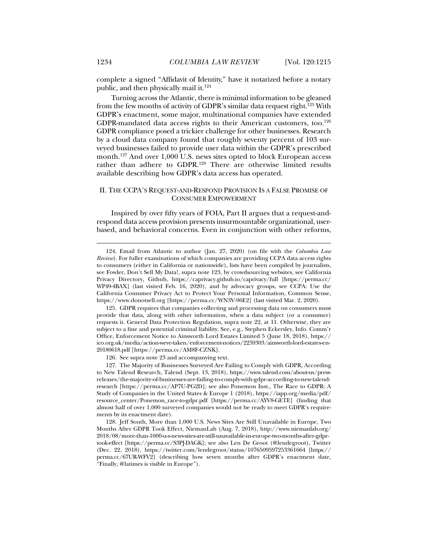complete a signed "Affidavit of Identity," have it notarized before a notary public, and then physically mail it.<sup>124</sup>

Turning across the Atlantic, there is minimal information to be gleaned from the few months of activity of GDPR's similar data request right.<sup>125</sup> With GDPR's enactment, some major, multinational companies have extended GDPR-mandated data access rights to their American customers, too.<sup>126</sup> GDPR compliance posed a trickier challenge for other businesses. Research by a cloud data company found that roughly seventy percent of 103 surveyed businesses failed to provide user data within the GDPR's prescribed month.127 And over 1,000 U.S. news sites opted to block European access rather than adhere to GDPR.128 There are otherwise limited results available describing how GDPR's data access has operated.

## II. THE CCPA'S REQUEST-AND-RESPOND PROVISION IS A FALSE PROMISE OF CONSUMER EMPOWERMENT

Inspired by over fifty years of FOIA, Part II argues that a request-andrespond data access provision presents insurmountable organizational, userbased, and behavioral concerns. Even in conjunction with other reforms,

126. See supra note 23 and accompanying text.

 <sup>124.</sup> Email from Atlantic to author (Jan. 27, 2020) (on file with the *Columbia Law Review*). For fuller examinations of which companies are providing CCPA data access rights to consumers (either in California or nationwide), lists have been compiled by journalists, see Fowler, Don't Sell My Data!, supra note 123, by crowdsourcing websites, see California Privacy Directory, Github, https://caprivacy.github.io/caprivacy/full [https://perma.cc/ WP49-4BAX] (last visited Feb. 16, 2020), and by advocacy groups, see CCPA: Use the California Consumer Privacy Act to Protect Your Personal Information, Common Sense, https://www.donotsell.org [https://perma.cc/WN3V-96E2] (last visited Mar. 2, 2020).

 <sup>125.</sup> GDPR requires that companies collecting and processing data on consumers must provide that data, along with other information, when a data subject (or a consumer) requests it. General Data Protection Regulation, supra note 22, at 11. Otherwise, they are subject to a fine and potential criminal liability. See, e.g., Stephen Eckersley, Info. Comm'r Office, Enforcement Notice to Ainsworth Lord Estates Limited 5 (June 18, 2018), https:// ico.org.uk/media/action-weve-taken/enforcement-notices/2259303/ainsworth-lord-estates-en-20180618.pdf [https://perma.cc/AM8F-CZNK].

 <sup>127.</sup> The Majority of Businesses Surveyed Are Failing to Comply with GDPR, According to New Talend Research, Talend (Sept. 13, 2018), https://www.talend.com/about-us/pressreleases/the-majority-of-businesses-are-failing-to-comply-with-gdpr-according-to-new-talendresearch [https://perma.cc/AP7U-PG2D]; see also Ponemon Inst., The Race to GDPR: A Study of Companies in the United States & Europe 1 (2018), https://iapp.org/media/pdf/ resource\_center/Ponemon\_race-to-gdpr.pdf [https://perma.cc/AYV8-GETE] (finding that almost half of over 1,000 surveyed companies would not be ready to meet GDPR's requirements by its enactment date).

 <sup>128.</sup> Jeff South, More than 1,000 U.S. News Sites Are Still Unavailable in Europe, Two Months After GDPR Took Effect, NiemanLab (Aug. 7, 2018), http://www.niemanlab.org/ 2018/08/more-than-1000-u-s-news-sites-are-still-unavailable-in-europe-two-months-after-gdprtook-effect [https://perma.cc/S3PJ-DAGK]; see also Len De Groot (@lendegroot), Twitter (Dec. 22, 2018), https://twitter.com/lendegroot/status/1076509597253361664 [https:// perma.cc/67UR-WFV2] (describing how seven months after GDPR's enactment date, "Finally, @latimes is visible in Europe").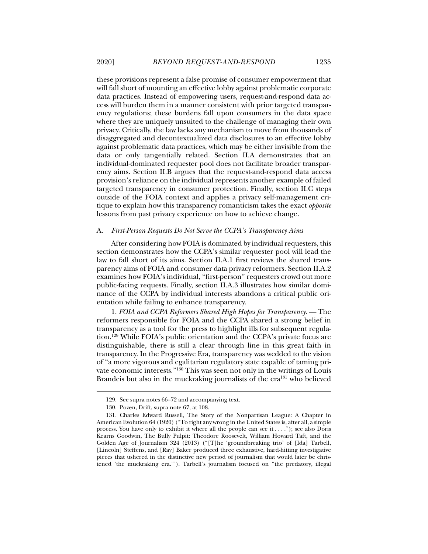these provisions represent a false promise of consumer empowerment that will fall short of mounting an effective lobby against problematic corporate data practices. Instead of empowering users, request-and-respond data access will burden them in a manner consistent with prior targeted transparency regulations; these burdens fall upon consumers in the data space where they are uniquely unsuited to the challenge of managing their own privacy. Critically, the law lacks any mechanism to move from thousands of disaggregated and decontextualized data disclosures to an effective lobby against problematic data practices, which may be either invisible from the data or only tangentially related. Section II.A demonstrates that an individual-dominated requester pool does not facilitate broader transparency aims. Section II.B argues that the request-and-respond data access provision's reliance on the individual represents another example of failed targeted transparency in consumer protection. Finally, section II.C steps outside of the FOIA context and applies a privacy self-management critique to explain how this transparency romanticism takes the exact *opposite* lessons from past privacy experience on how to achieve change.

#### A. *First-Person Requests Do Not Serve the CCPA's Transparency Aims*

After considering how FOIA is dominated by individual requesters, this section demonstrates how the CCPA's similar requester pool will lead the law to fall short of its aims. Section II.A.1 first reviews the shared transparency aims of FOIA and consumer data privacy reformers. Section II.A.2 examines how FOIA's individual, "first-person" requesters crowd out more public-facing requests. Finally, section II.A.3 illustrates how similar dominance of the CCPA by individual interests abandons a critical public orientation while failing to enhance transparency.

1. *FOIA and CCPA Reformers Shared High Hopes for Transparency*. — The reformers responsible for FOIA and the CCPA shared a strong belief in transparency as a tool for the press to highlight ills for subsequent regulation.129 While FOIA's public orientation and the CCPA's private focus are distinguishable, there is still a clear through line in this great faith in transparency. In the Progressive Era, transparency was wedded to the vision of "a more vigorous and egalitarian regulatory state capable of taming private economic interests."130 This was seen not only in the writings of Louis Brandeis but also in the muckraking journalists of the  $era^{131}$  who believed

 <sup>129.</sup> See supra notes 66–72 and accompanying text.

 <sup>130.</sup> Pozen, Drift, supra note 67, at 108.

 <sup>131.</sup> Charles Edward Russell, The Story of the Nonpartisan League: A Chapter in American Evolution 64 (1920) ("To right any wrong in the United States is, after all, a simple process. You have only to exhibit it where all the people can see it . . . ."); see also Doris Kearns Goodwin, The Bully Pulpit: Theodore Roosevelt, William Howard Taft, and the Golden Age of Journalism 324 (2013) ("[T]he 'groundbreaking trio' of [Ida] Tarbell, [Lincoln] Steffens, and [Ray] Baker produced three exhaustive, hard-hitting investigative pieces that ushered in the distinctive new period of journalism that would later be christened 'the muckraking era.'"). Tarbell's journalism focused on "the predatory, illegal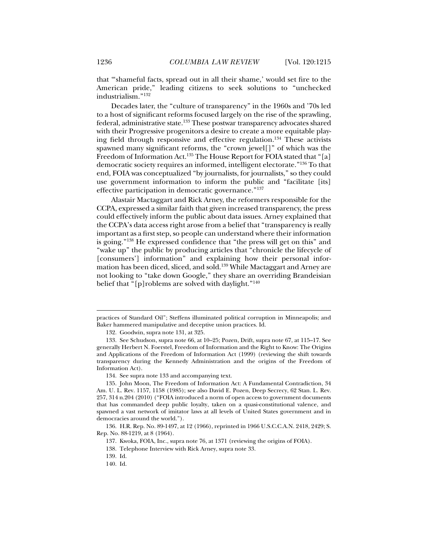that "'shameful facts, spread out in all their shame,' would set fire to the American pride," leading citizens to seek solutions to "unchecked industrialism."132

Decades later, the "culture of transparency" in the 1960s and '70s led to a host of significant reforms focused largely on the rise of the sprawling, federal, administrative state.<sup>133</sup> These postwar transparency advocates shared with their Progressive progenitors a desire to create a more equitable playing field through responsive and effective regulation.134 These activists spawned many significant reforms, the "crown jewel[]" of which was the Freedom of Information Act.<sup>135</sup> The House Report for FOIA stated that "[a] democratic society requires an informed, intelligent electorate."136 To that end, FOIA was conceptualized "by journalists, for journalists," so they could use government information to inform the public and "facilitate [its] effective participation in democratic governance."137

Alastair Mactaggart and Rick Arney, the reformers responsible for the CCPA, expressed a similar faith that given increased transparency, the press could effectively inform the public about data issues. Arney explained that the CCPA's data access right arose from a belief that "transparency is really important as a first step, so people can understand where their information is going."138 He expressed confidence that "the press will get on this" and "wake up" the public by producing articles that "chronicle the lifecycle of [consumers'] information" and explaining how their personal information has been diced, sliced, and sold.139 While Mactaggart and Arney are not looking to "take down Google," they share an overriding Brandeisian belief that "[p]roblems are solved with daylight."140

practices of Standard Oil"; Steffens illuminated political corruption in Minneapolis; and Baker hammered manipulative and deceptive union practices. Id.

 <sup>132.</sup> Goodwin, supra note 131, at 325.

 <sup>133.</sup> See Schudson, supra note 66, at 10–25; Pozen, Drift, supra note 67, at 115–17. See generally Herbert N. Foerstel, Freedom of Information and the Right to Know: The Origins and Applications of the Freedom of Information Act (1999) (reviewing the shift towards transparency during the Kennedy Administration and the origins of the Freedom of Information Act).

 <sup>134.</sup> See supra note 133 and accompanying text.

 <sup>135.</sup> John Moon, The Freedom of Information Act: A Fundamental Contradiction, 34 Am. U. L. Rev. 1157, 1158 (1985); see also David E. Pozen, Deep Secrecy, 62 Stan. L. Rev. 257, 314 n.204 (2010) ("FOIA introduced a norm of open access to government documents that has commanded deep public loyalty, taken on a quasi-constitutional valence, and spawned a vast network of imitator laws at all levels of United States government and in democracies around the world.").

 <sup>136.</sup> H.R. Rep. No. 89-1497, at 12 (1966), reprinted in 1966 U.S.C.C.A.N. 2418, 2429; S. Rep. No. 88-1219, at 8 (1964).

 <sup>137.</sup> Kwoka, FOIA, Inc., supra note 76, at 1371 (reviewing the origins of FOIA).

 <sup>138.</sup> Telephone Interview with Rick Arney, supra note 33.

 <sup>139.</sup> Id.

 <sup>140.</sup> Id.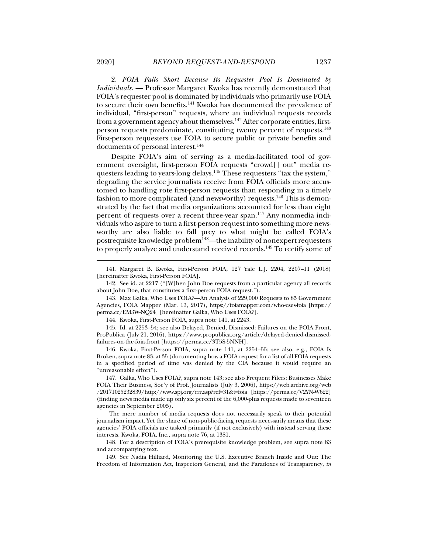2. *FOIA Falls Short Because Its Requester Pool Is Dominated by Individuals*. — Professor Margaret Kwoka has recently demonstrated that FOIA's requester pool is dominated by individuals who primarily use FOIA to secure their own benefits.141 Kwoka has documented the prevalence of individual, "first-person" requests, where an individual requests records from a government agency about themselves.<sup>142</sup> After corporate entities, firstperson requests predominate, constituting twenty percent of requests.143 First-person requesters use FOIA to secure public or private benefits and documents of personal interest.<sup>144</sup>

Despite FOIA's aim of serving as a media-facilitated tool of government oversight, first-person FOIA requests "crowd[] out" media requesters leading to years-long delays.<sup>145</sup> These requesters "tax the system," degrading the service journalists receive from FOIA officials more accustomed to handling rote first-person requests than responding in a timely fashion to more complicated (and newsworthy) requests.<sup>146</sup> This is demonstrated by the fact that media organizations accounted for less than eight percent of requests over a recent three-year span.<sup>147</sup> Any nonmedia individuals who aspire to turn a first-person request into something more newsworthy are also liable to fall prey to what might be called FOIA's postrequisite knowledge problem<sup>148</sup>—the inability of nonexpert requesters to properly analyze and understand received records.<sup>149</sup> To rectify some of

144. Kwoka, First-Person FOIA, supra note 141, at 2243.

 145. Id. at 2253–54; see also Delayed, Denied, Dismissed: Failures on the FOIA Front, ProPublica (July 21, 2016), https://www.propublica.org/article/delayed-denied-dismissedfailures-on-the-foia-front [https://perma.cc/3T5S-5NNH].

 146. Kwoka, First-Person FOIA, supra note 141, at 2254–55; see also, e.g., FOIA Is Broken, supra note 83, at 35 (documenting how a FOIA request for a list of all FOIA requests in a specified period of time was denied by the CIA because it would require an "unreasonable effort").

 147. Galka, Who Uses FOIA?, supra note 143; see also Frequent Filers: Businesses Make FOIA Their Business, Soc'y of Prof. Journalists (July 3, 2006), https://web.archive.org/web /20171025232839/http://www.spj.org/rrr.asp?ref=31&t=foia [https://perma.cc/V2YN-W622] (finding news media made up only six percent of the 6,000-plus requests made to seventeen agencies in September 2005).

The mere number of media requests does not necessarily speak to their potential journalism impact. Yet the share of non-public-facing requests necessarily means that these agencies' FOIA officials are tasked primarily (if not exclusively) with instead serving these interests. Kwoka, FOIA, Inc., supra note 76, at 1381.

 <sup>141.</sup> Margaret B. Kwoka, First-Person FOIA, 127 Yale L.J. 2204, 2207–11 (2018) [hereinafter Kwoka, First-Person FOIA].

 <sup>142.</sup> See id. at 2217 ("[W]hen John Doe requests from a particular agency all records about John Doe, that constitutes a first-person FOIA request.").

 <sup>143.</sup> Max Galka, Who Uses FOIA?—An Analysis of 229,000 Requests to 85 Government Agencies, FOIA Mapper (Mar. 13, 2017), https://foiamapper.com/who-uses-foia [https:// perma.cc/EM3W-NQ24] [hereinafter Galka, Who Uses FOIA?].

 <sup>148.</sup> For a description of FOIA's prerequisite knowledge problem, see supra note 83 and accompanying text.

 <sup>149.</sup> See Nadia Hilliard, Monitoring the U.S. Executive Branch Inside and Out: The Freedom of Information Act, Inspectors General, and the Paradoxes of Transparency, *in*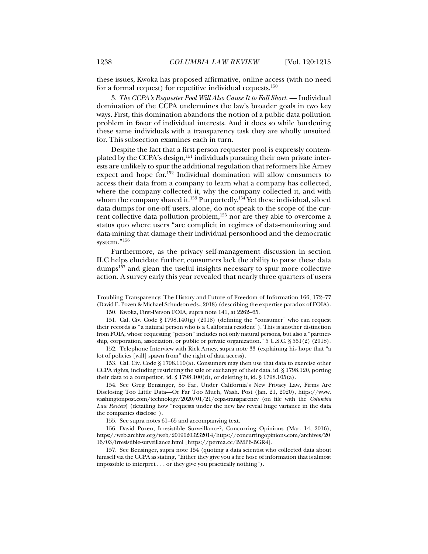these issues, Kwoka has proposed affirmative, online access (with no need for a formal request) for repetitive individual requests.150

3. *The CCPA's Requester Pool Will Also Cause It to Fall Short*. — Individual domination of the CCPA undermines the law's broader goals in two key ways. First, this domination abandons the notion of a public data pollution problem in favor of individual interests. And it does so while burdening these same individuals with a transparency task they are wholly unsuited for. This subsection examines each in turn.

Despite the fact that a first-person requester pool is expressly contemplated by the CCPA's design,151 individuals pursuing their own private interests are unlikely to spur the additional regulation that reformers like Arney expect and hope for.152 Individual domination will allow consumers to access their data from a company to learn what a company has collected, where the company collected it, why the company collected it, and with whom the company shared it.<sup>153</sup> Purportedly.<sup>154</sup> Yet these individual, siloed data dumps for one-off users, alone, do not speak to the scope of the current collective data pollution problem,155 nor are they able to overcome a status quo where users "are complicit in regimes of data-monitoring and data-mining that damage their individual personhood and the democratic system."156

Furthermore, as the privacy self-management discussion in section II.C helps elucidate further, consumers lack the ability to parse these data dumps<sup>157</sup> and glean the useful insights necessary to spur more collective action. A survey early this year revealed that nearly three quarters of users

 153. Cal. Civ. Code § 1798.110(a). Consumers may then use that data to exercise other CCPA rights, including restricting the sale or exchange of their data, id. § 1798.120, porting their data to a competitor, id. § 1798.100(d), or deleting it, id. § 1798.105(a).

 154. See Greg Bensinger, So Far, Under California's New Privacy Law, Firms Are Disclosing Too Little Data—Or Far Too Much, Wash. Post (Jan. 21, 2020), https://www. washingtonpost.com/technology/2020/01/21/ccpa-transparency (on file with the *Columbia Law Review*) (detailing how "requests under the new law reveal huge variance in the data the companies disclose").

155. See supra notes 61–65 and accompanying text.

 156. David Pozen, Irresistible Surveillance?, Concurring Opinions (Mar. 14, 2016), https://web.archive.org/web/20190203232014/https://concurringopinions.com/archives/20 16/03/irresistible-surveillance.html [https://perma.cc/BMP6-BGR4].

 157. See Bensinger, supra note 154 (quoting a data scientist who collected data about himself via the CCPA as stating, "Either they give you a fire hose of information that is almost impossible to interpret . . . or they give you practically nothing").

Troubling Transparency: The History and Future of Freedom of Information 166, 172–77 (David E. Pozen & Michael Schudson eds., 2018) (describing the expertise paradox of FOIA).

 <sup>150.</sup> Kwoka, First-Person FOIA, supra note 141, at 2262–65.

 <sup>151.</sup> Cal. Civ. Code § 1798.140(g) (2018) (defining the "consumer" who can request their records as "a natural person who is a California resident"). This is another distinction from FOIA, whose requesting "person" includes not only natural persons, but also a "partnership, corporation, association, or public or private organization." 5 U.S.C. § 551(2) (2018).

 <sup>152.</sup> Telephone Interview with Rick Arney, supra note 33 (explaining his hope that "a lot of policies [will] spawn from" the right of data access).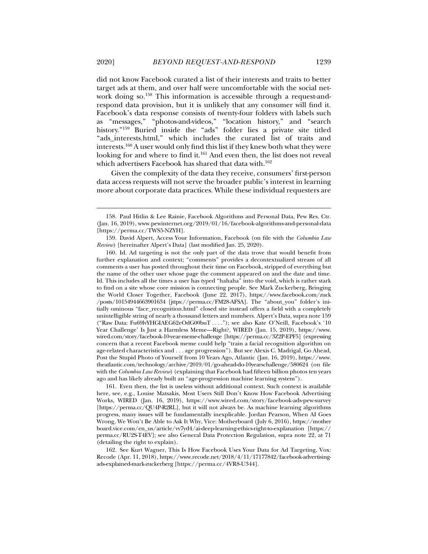did not know Facebook curated a list of their interests and traits to better target ads at them, and over half were uncomfortable with the social network doing so.<sup>158</sup> This information is accessible through a request-andrespond data provision, but it is unlikely that any consumer will find it. Facebook's data response consists of twenty-four folders with labels such as "messages," "photos-and-videos," "location history," and "search history."<sup>159</sup> Buried inside the "ads" folder lies a private site titled "ads\_interests.html," which includes the curated list of traits and interests.160 A user would only find this list if they knew both what they were looking for and where to find it.<sup>161</sup> And even then, the list does not reveal which advertisers Facebook has shared that data with.<sup>162</sup>

Given the complexity of the data they receive, consumers' first-person data access requests will not serve the broader public's interest in learning more about corporate data practices. While these individual requesters are

 161. Even then, the list is useless without additional context. Such context is available here, see, e.g., Louise Matsakis, Most Users Still Don't Know How Facebook Advertising Works, WIRED (Jan. 16, 2019), https://www.wired.com/story/facebook-ads-pew-survey [https://perma.cc/QU4P-R2RL], but it will not always be. As machine learning algorithms progress, many issues will be fundamentally inexplicable. Jordan Pearson, When AI Goes Wrong, We Won't Be Able to Ask It Why, Vice: Motherboard (July 6, 2016), https://mother board.vice.com/en\_us/article/vv7yd4/ai-deep-learning-ethics-right-to-explanation [https:// perma.cc/RU2S-T4EV]; see also General Data Protection Regulation, supra note 22, at 71 (detailing the right to explain).

 162. See Kurt Wagner, This Is How Facebook Uses Your Data for Ad Targeting, Vox: Recode (Apr. 11, 2018), https://www.recode.net/2018/4/11/17177842/facebook-advertisingads-explained-mark-zuckerberg [https://perma.cc/4VR8-U344].

 <sup>158.</sup> Paul Hitlin & Lee Rainie, Facebook Algorithms and Personal Data, Pew Res. Ctr. (Jan. 16, 2019), www.pewinternet.org/2019/01/16/facebook-algorithms-and-personal-data [https://perma.cc/TWS5-NZYH].

 <sup>159.</sup> David Alpert, Access Your Information, Facebook (on file with the *Columbia Law Review*) [hereinafter Alpert's Data] (last modified Jan. 25, 2020).

 <sup>160.</sup> Id. Ad targeting is not the only part of the data trove that would benefit from further explanation and context; "comments" provides a decontextualized stream of all comments a user has posted throughout their time on Facebook, stripped of everything but the name of the other user whose page the comment appeared on and the date and time. Id. This includes all the times a user has typed "hahaha" into the void, which is rather stark to find on a site whose core mission is connecting people. See Mark Zuckerberg, Bringing the World Closer Together, Facebook (June 22, 2017), https://www.facebook.com/zuck /posts/10154944663901634 [jttps://perma.cc/FM28-AFSA]. The "about\_you" folder's initially ominous "face\_recognition.html" closed site instead offers a field with a completely unintelligible string of nearly a thousand letters and numbers. Alpert's Data, supra note 159 ("Raw Data: Fu69lvYHGIAEG62eOdG00buT . . . ."); see also Kate O'Neill, Facebook's '10 Year Challenge' Is Just a Harmless Meme—Right?, WIRED (Jan. 15, 2019), https://www. wired.com/story/facebook-10-year-meme-challenge [https://perma.cc/3Z2P-EPF5] (expressing concern that a recent Facebook meme could help "train a facial recognition algorithm on age-related characteristics and . . . age progression"). But see Alexis C. Madrigal, Go Ahead, Post the Stupid Photo of Yourself from 10 Years Ago, Atlantic (Jan. 16, 2019), https://www. theatlantic.com/technology/archive/2019/01/go-ahead-do-10yearschallenge/580624 (on file with the *Columbia Law Review*) (explaining that Facebook had fifteen billion photos ten years ago and has likely already built an "age-progression machine learning system").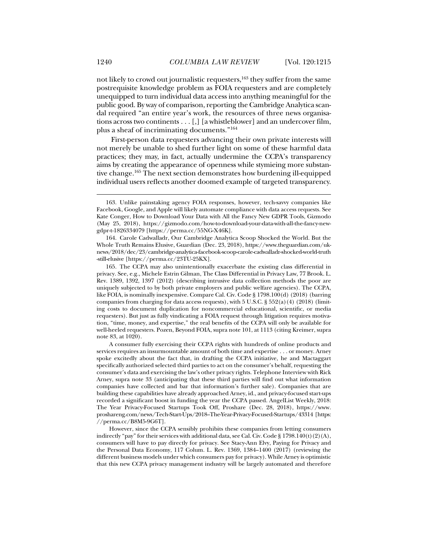not likely to crowd out journalistic requesters,<sup>163</sup> they suffer from the same postrequisite knowledge problem as FOIA requesters and are completely unequipped to turn individual data access into anything meaningful for the public good. By way of comparison, reporting the Cambridge Analytica scandal required "an entire year's work, the resources of three news organisations across two continents  $\dots$  [,] [a whistleblower] and an undercover film, plus a sheaf of incriminating documents."164

First-person data requesters advancing their own private interests will not merely be unable to shed further light on some of these harmful data practices; they may, in fact, actually undermine the CCPA's transparency aims by creating the appearance of openness while stymieing more substantive change.165 The next section demonstrates how burdening ill-equipped individual users reflects another doomed example of targeted transparency.

 <sup>163.</sup> Unlike painstaking agency FOIA responses, however, tech-savvy companies like Facebook, Google, and Apple will likely automate compliance with data access requests. See Kate Conger, How to Download Your Data with All the Fancy New GDPR Tools, Gizmodo (May 25, 2018), https://gizmodo.com/how-to-download-your-data-with-all-the-fancy-newgdpr-t-1826334079 [https://perma.cc/55NG-X46K].

 <sup>164.</sup> Carole Cadwalladr, Our Cambridge Analytica Scoop Shocked the World. But the Whole Truth Remains Elusive, Guardian (Dec. 23, 2018), https://www.theguardian.com/uknews/2018/dec/23/cambridge-analytica-facebook-scoop-carole-cadwalladr-shocked-world-truth -still-elusive [https://perma.cc/23TU-25KX].

 <sup>165.</sup> The CCPA may also unintentionally exacerbate the existing class differential in privacy. See, e.g., Michele Estrin Gilman, The Class Differential in Privacy Law, 77 Brook. L. Rev. 1389, 1392, 1397 (2012) (describing intrusive data collection methods the poor are uniquely subjected to by both private employers and public welfare agencies). The CCPA, like FOIA, is nominally inexpensive. Compare Cal. Civ. Code § 1798.100(d) (2018) (barring companies from charging for data access requests), with 5 U.S.C. § 552(a)(4) (2018) (limiting costs to document duplication for noncommercial educational, scientific, or media requesters). But just as fully vindicating a FOIA request through litigation requires motivation, "time, money, and expertise," the real benefits of the CCPA will only be available for well-heeled requesters. Pozen, Beyond FOIA, supra note 101, at 1113 (citing Kreimer, supra note 83, at 1020).

A consumer fully exercising their CCPA rights with hundreds of online products and services requires an insurmountable amount of both time and expertise . . . or money. Arney spoke excitedly about the fact that, in drafting the CCPA initiative, he and Mactaggart specifically authorized selected third parties to act on the consumer's behalf, requesting the consumer's data and exercising the law's other privacy rights. Telephone Interview with Rick Arney, supra note 33 (anticipating that these third parties will find out what information companies have collected and bar that information's further sale). Companies that are building these capabilities have already approached Arney, id., and privacy-focused start-ups recorded a significant boost in funding the year the CCPA passed. AngelList Weekly, 2018: The Year Privacy-Focused Startups Took Off, Proshare (Dec. 28, 2018), https://www. proshareng.com/news/Tech-Start-Ups/2018–The-Year-Privacy-Focused-Startups/43314 [https: //perma.cc/B8M5-9G6T].

However, since the CCPA sensibly prohibits these companies from letting consumers indirectly "pay" for their services with additional data, see Cal. Civ. Code § 1798.140(t)(2)(A), consumers will have to pay directly for privacy. See Stacy-Ann Elvy, Paying for Privacy and the Personal Data Economy, 117 Colum. L. Rev. 1369, 1384–1400 (2017) (reviewing the different business models under which consumers pay for privacy). While Arney is optimistic that this new CCPA privacy management industry will be largely automated and therefore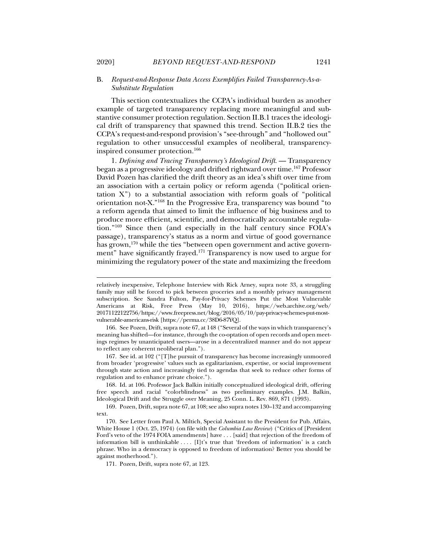## B. *Request-and-Response Data Access Exemplifies Failed Transparency-As-a-Substitute Regulation*

This section contextualizes the CCPA's individual burden as another example of targeted transparency replacing more meaningful and substantive consumer protection regulation. Section II.B.1 traces the ideological drift of transparency that spawned this trend. Section II.B.2 ties the CCPA's request-and-respond provision's "see-through" and "hollowed out" regulation to other unsuccessful examples of neoliberal, transparencyinspired consumer protection.166

1. *Defining and Tracing Transparency's Ideological Drift.* - Transparency began as a progressive ideology and drifted rightward over time.167 Professor David Pozen has clarified the drift theory as an idea's shift over time from an association with a certain policy or reform agenda ("political orientation X") to a substantial association with reform goals of "political orientation not-X."168 In the Progressive Era, transparency was bound "to a reform agenda that aimed to limit the influence of big business and to produce more efficient, scientific, and democratically accountable regulation."169 Since then (and especially in the half century since FOIA's passage), transparency's status as a norm and virtue of good governance has grown,<sup>170</sup> while the ties "between open government and active government" have significantly frayed.<sup>171</sup> Transparency is now used to argue for minimizing the regulatory power of the state and maximizing the freedom

 167. See id. at 102 ("[T]he pursuit of transparency has become increasingly unmoored from broader 'progressive' values such as egalitarianism, expertise, or social improvement through state action and increasingly tied to agendas that seek to reduce other forms of regulation and to enhance private choice.").

 168. Id. at 106. Professor Jack Balkin initially conceptualized ideological drift, offering free speech and racial "colorblindness" as two preliminary examples. J.M. Balkin, Ideological Drift and the Struggle over Meaning, 25 Conn. L. Rev. 869, 871 (1993).

 169. Pozen, Drift, supra note 67, at 108; see also supra notes 130–132 and accompanying text.

171. Pozen, Drift, supra note 67, at 123.

relatively inexpensive, Telephone Interview with Rick Arney, supra note 33, a struggling family may still be forced to pick between groceries and a monthly privacy management subscription. See Sandra Fulton, Pay-for-Privacy Schemes Put the Most Vulnerable Americans at Risk, Free Press (May 10, 2016), https://web.archive.org/web/ 20171122122756/https://www.freepress.net/blog/2016/05/10/pay-privacy-schemes-put-mostvulnerable-americans-risk [https://perma.cc/38D6-87YQ].

 <sup>166.</sup> See Pozen, Drift, supra note 67, at 148 ("Several of the ways in which transparency's meaning has shifted—for instance, through the co-optation of open records and open meetings regimes by unanticipated users—arose in a decentralized manner and do not appear to reflect any coherent neoliberal plan.").

 <sup>170.</sup> See Letter from Paul A. Miltich, Special Assistant to the President for Pub. Affairs, White House 1 (Oct. 25, 1974) (on file with the *Columbia Law Review*) ("Critics of [President Ford's veto of the 1974 FOIA amendments] have . . . [said] that rejection of the freedom of information bill is unthinkable  $\dots$  [I]t's true that 'freedom of information' is a catch phrase. Who in a democracy is opposed to freedom of information? Better you should be against motherhood.").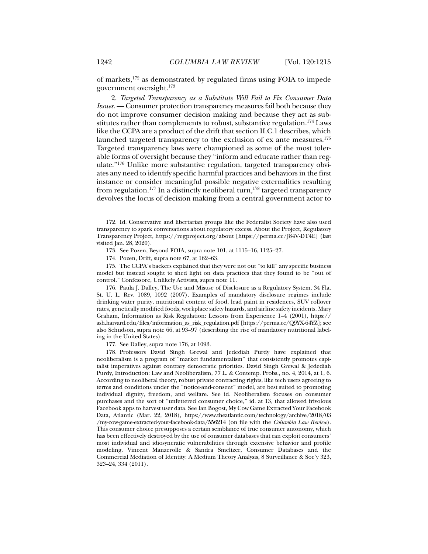of markets,172 as demonstrated by regulated firms using FOIA to impede government oversight.173

2. *Targeted Transparency as a Substitute Will Fail to Fix Consumer Data Issues*. — Consumer protection transparency measures fail both because they do not improve consumer decision making and because they act as substitutes rather than complements to robust, substantive regulation.<sup>174</sup> Laws like the CCPA are a product of the drift that section II.C.1 describes, which launched targeted transparency to the exclusion of ex ante measures.<sup>175</sup> Targeted transparency laws were championed as some of the most tolerable forms of oversight because they "inform and educate rather than regulate."176 Unlike more substantive regulation, targeted transparency obviates any need to identify specific harmful practices and behaviors in the first instance or consider meaningful possible negative externalities resulting from regulation.<sup>177</sup> In a distinctly neoliberal turn,<sup>178</sup> targeted transparency devolves the locus of decision making from a central government actor to

 175. The CCPA's backers explained that they were not out "to kill" any specific business model but instead sought to shed light on data practices that they found to be "out of control." Confessore, Unlikely Activists, supra note 11.

 176. Paula J. Dalley, The Use and Misuse of Disclosure as a Regulatory System, 34 Fla. St. U. L. Rev. 1089, 1092 (2007). Examples of mandatory disclosure regimes include drinking water purity, nutritional content of food, lead paint in residences, SUV rollover rates, genetically modified foods, workplace safety hazards, and airline safety incidents. Mary Graham, Information as Risk Regulation: Lessons from Experience 1–4 (2001), https:// ash.harvard.edu/files/information\_as\_risk\_regulation.pdf [https://perma.cc/Q9YX-64YZ]; see also Schudson, supra note 66, at 93–97 (describing the rise of mandatory nutritional labeling in the United States).

177. See Dalley, supra note 176, at 1093.

 178. Professors David Singh Grewal and Jedediah Purdy have explained that neoliberalism is a program of "market fundamentalism" that consistently promotes capitalist imperatives against contrary democratic priorities. David Singh Grewal & Jedediah Purdy, Introduction: Law and Neoliberalism, 77 L. & Contemp. Probs., no. 4, 2014, at 1, 6. According to neoliberal theory, robust private contracting rights, like tech users agreeing to terms and conditions under the "notice-and-consent" model, are best suited to promoting individual dignity, freedom, and welfare. See id. Neoliberalism focuses on consumer purchases and the sort of "unfettered consumer choice," id. at 13, that allowed frivolous Facebook apps to harvest user data. See Ian Bogost, My Cow Game Extracted Your Facebook Data, Atlantic (Mar. 22, 2018), https://www.theatlantic.com/technology/archive/2018/03 /my-cow-game-extracted-your-facebook-data/556214 (on file with the *Columbia Law Review*). This consumer choice presupposes a certain semblance of true consumer autonomy, which has been effectively destroyed by the use of consumer databases that can exploit consumers' most individual and idiosyncratic vulnerabilities through extensive behavior and profile modeling. Vincent Manzerolle & Sandra Smeltzer, Consumer Databases and the Commercial Mediation of Identity: A Medium Theory Analysis, 8 Surveillance & Soc'y 323, 323–24, 334 (2011).

 <sup>172.</sup> Id. Conservative and libertarian groups like the Federalist Society have also used transparency to spark conversations about regulatory excess. About the Project, Regulatory Transparency Project, https://regproject.org/about [https://perma.cc/J84V-DT4E] (last visited Jan. 28, 2020).

 <sup>173.</sup> See Pozen, Beyond FOIA, supra note 101, at 1115–16, 1125–27.

 <sup>174.</sup> Pozen, Drift, supra note 67, at 162–63.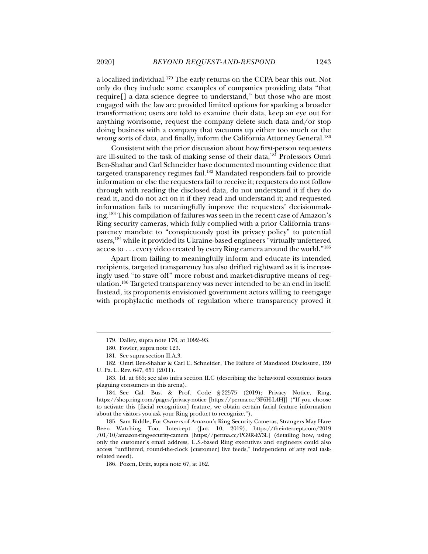a localized individual.179 The early returns on the CCPA bear this out. Not only do they include some examples of companies providing data "that require[] a data science degree to understand," but those who are most engaged with the law are provided limited options for sparking a broader transformation; users are told to examine their data, keep an eye out for anything worrisome, request the company delete such data and/or stop doing business with a company that vacuums up either too much or the wrong sorts of data, and finally, inform the California Attorney General.<sup>180</sup>

Consistent with the prior discussion about how first-person requesters are ill-suited to the task of making sense of their data,181 Professors Omri Ben-Shahar and Carl Schneider have documented mounting evidence that targeted transparency regimes fail.<sup>182</sup> Mandated responders fail to provide information or else the requesters fail to receive it; requesters do not follow through with reading the disclosed data, do not understand it if they do read it, and do not act on it if they read and understand it; and requested information fails to meaningfully improve the requesters' decisionmaking.183 This compilation of failures was seen in the recent case of Amazon's Ring security cameras, which fully complied with a prior California transparency mandate to "conspicuously post its privacy policy" to potential users,184 while it provided its Ukraine-based engineers "virtually unfettered access to . . . every video created by every Ring camera around the world."185

Apart from failing to meaningfully inform and educate its intended recipients, targeted transparency has also drifted rightward as it is increasingly used "to stave off" more robust and market-disruptive means of regulation.186 Targeted transparency was never intended to be an end in itself: Instead, its proponents envisioned government actors willing to reengage with prophylactic methods of regulation where transparency proved it

 <sup>179.</sup> Dalley, supra note 176, at 1092–93.

 <sup>180.</sup> Fowler, supra note 123.

 <sup>181.</sup> See supra section II.A.3.

 <sup>182.</sup> Omri Ben-Shahar & Carl E. Schneider, The Failure of Mandated Disclosure, 159 U. Pa. L. Rev. 647, 651 (2011).

 <sup>183.</sup> Id. at 665; see also infra section II.C (describing the behavioral economics issues plaguing consumers in this arena).

 <sup>184.</sup> See Cal. Bus. & Prof. Code § 22575 (2019); Privacy Notice, Ring, https://shop.ring.com/pages/privacy-notice [https://perma.cc/3F6H-L4HJ] ("If you choose to activate this [facial recognition] feature, we obtain certain facial feature information about the visitors you ask your Ring product to recognize.").

 <sup>185.</sup> Sam Biddle, For Owners of Amazon's Ring Security Cameras, Strangers May Have Been Watching Too, Intercept (Jan. 10, 2019), https://theintercept.com/2019 /01/10/amazon-ring-security-camera [https://perma.cc/PG9R-EY3L] (detailing how, using only the customer's email address, U.S.-based Ring executives and engineers could also access "unfiltered, round-the-clock [customer] live feeds," independent of any real taskrelated need).

 <sup>186.</sup> Pozen, Drift, supra note 67, at 162.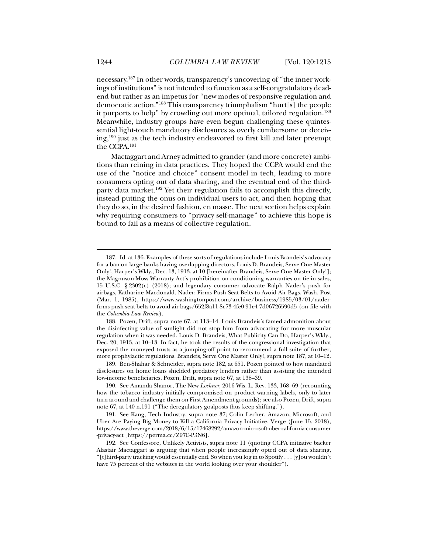necessary.187 In other words, transparency's uncovering of "the inner workings of institutions" is not intended to function as a self-congratulatory deadend but rather as an impetus for "new modes of responsive regulation and democratic action."188 This transparency triumphalism "hurt[s] the people it purports to help" by crowding out more optimal, tailored regulation.<sup>189</sup> Meanwhile, industry groups have even begun challenging these quintessential light-touch mandatory disclosures as overly cumbersome or deceiving,190 just as the tech industry endeavored to first kill and later preempt the CCPA.191

Mactaggart and Arney admitted to grander (and more concrete) ambitions than reining in data practices. They hoped the CCPA would end the use of the "notice and choice" consent model in tech, leading to more consumers opting out of data sharing, and the eventual end of the thirdparty data market.<sup>192</sup> Yet their regulation fails to accomplish this directly, instead putting the onus on individual users to act, and then hoping that they do so, in the desired fashion, en masse. The next section helps explain why requiring consumers to "privacy self-manage" to achieve this hope is bound to fail as a means of collective regulation.

 189. Ben-Shahar & Schneider, supra note 182, at 651. Pozen pointed to how mandated disclosures on home loans shielded predatory lenders rather than assisting the intended low-income beneficiaries. Pozen, Drift, supra note 67, at 138–39.

 191. See Kang, Tech Industry, supra note 37; Colin Lecher, Amazon, Microsoft, and Uber Are Paying Big Money to Kill a California Privacy Initiative, Verge (June 15, 2018), https://www.theverge.com/2018/6/15/17468292/amazon-microsoft-uber-california-consumer -privacy-act [https://perma.cc/Z97E-P3N6].

 <sup>187.</sup> Id. at 136. Examples of these sorts of regulations include Louis Brandeis's advocacy for a ban on large banks having overlapping directors, Louis D. Brandeis, Serve One Master Only!, Harper's Wkly., Dec. 13, 1913, at 10 [hereinafter Brandeis, Serve One Master Only!]; the Magnuson-Moss Warranty Act's prohibition on conditioning warranties on tie-in sales, 15 U.S.C. § 2302(c) (2018); and legendary consumer advocate Ralph Nader's push for airbags, Katharine Macdonald, Nader: Firms Push Seat Belts to Avoid Air Bags, Wash. Post (Mar. 1, 1985), https://www.washingtonpost.com/archive/business/1985/03/01/naderfirms-push-seat-belts-to-avoid-air-bags/652f8a11-8c73-4fe0-91e4-7d06726590d5 (on file with the *Columbia Law Review*).

 <sup>188.</sup> Pozen, Drift, supra note 67, at 113–14. Louis Brandeis's famed admonition about the disinfecting value of sunlight did not stop him from advocating for more muscular regulation when it was needed. Louis D. Brandeis, What Publicity Can Do, Harper's Wkly., Dec. 20, 1913, at 10–13. In fact, he took the results of the congressional investigation that exposed the moneyed trusts as a jumping-off point to recommend a full suite of further, more prophylactic regulations. Brandeis, Serve One Master Only!, supra note 187, at 10–12.

 <sup>190.</sup> See Amanda Shanor, The New *Lochner*, 2016 Wis. L. Rev. 133, 168–69 (recounting how the tobacco industry initially compromised on product warning labels, only to later turn around and challenge them on First Amendment grounds); see also Pozen, Drift, supra note 67, at 140 n.191 ("The deregulatory goalposts thus keep shifting.").

 <sup>192.</sup> See Confessore, Unlikely Activists, supra note 11 (quoting CCPA initiative backer Alastair Mactaggart as arguing that when people increasingly opted out of data sharing, "[t]hird-party tracking would essentially end. So when you log in to Spotify . . . [y]ou wouldn't have 75 percent of the websites in the world looking over your shoulder").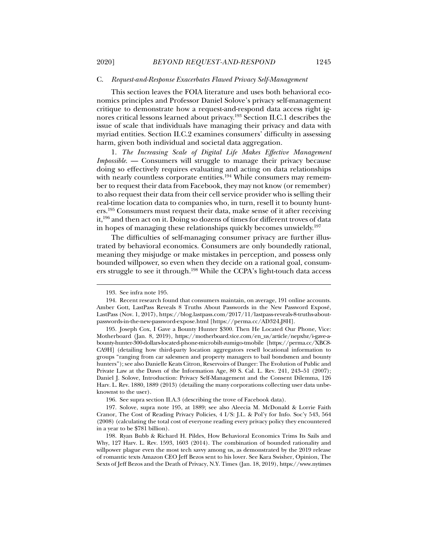#### C. *Request-and-Response Exacerbates Flawed Privacy Self-Management*

This section leaves the FOIA literature and uses both behavioral economics principles and Professor Daniel Solove's privacy self-management critique to demonstrate how a request-and-respond data access right ignores critical lessons learned about privacy.193 Section II.C.1 describes the issue of scale that individuals have managing their privacy and data with myriad entities. Section II.C.2 examines consumers' difficulty in assessing harm, given both individual and societal data aggregation.

1. *The Increasing Scale of Digital Life Makes Effective Management Impossible*. — Consumers will struggle to manage their privacy because doing so effectively requires evaluating and acting on data relationships with nearly countless corporate entities.<sup>194</sup> While consumers may remember to request their data from Facebook, they may not know (or remember) to also request their data from their cell service provider who is selling their real-time location data to companies who, in turn, resell it to bounty hunters.195 Consumers must request their data, make sense of it after receiving it,196 and then act on it. Doing so dozens of times for different troves of data in hopes of managing these relationships quickly becomes unwieldy.197

The difficulties of self-managing consumer privacy are further illustrated by behavioral economics. Consumers are only boundedly rational, meaning they misjudge or make mistakes in perception, and possess only bounded willpower, so even when they decide on a rational goal, consumers struggle to see it through.198 While the CCPA's light-touch data access

 <sup>193.</sup> See infra note 195.

 <sup>194.</sup> Recent research found that consumers maintain, on average, 191 online accounts. Amber Gott, LastPass Reveals 8 Truths About Passwords in the New Password Exposé, LastPass (Nov. 1, 2017), https://blog.lastpass.com/2017/11/lastpass-reveals-8-truths-aboutpasswords-in-the-new-password-expose.html [https://perma.cc/AD32-LJ8H].

 <sup>195.</sup> Joseph Cox, I Gave a Bounty Hunter \$300. Then He Located Our Phone, Vice: Motherboard (Jan. 8, 2019), https://motherboard.vice.com/en\_us/article/nepxbz/i-gave-abounty-hunter-300-dollars-located-phone-microbilt-zumigo-tmobile [https://perma.cc/XBC8- CA9H] (detailing how third-party location aggregators resell locational information to groups "ranging from car salesmen and property managers to bail bondsmen and bounty hunters"); see also Danielle Keats Citron, Reservoirs of Danger: The Evolution of Public and Private Law at the Dawn of the Information Age, 80 S. Cal. L. Rev. 241, 243–51 (2007); Daniel J. Solove, Introduction: Privacy Self-Management and the Consent Dilemma, 126 Harv. L. Rev. 1880, 1889 (2013) (detailing the many corporations collecting user data unbeknownst to the user).

 <sup>196.</sup> See supra section II.A.3 (describing the trove of Facebook data).

 <sup>197.</sup> Solove, supra note 195, at 1889; see also Aleecia M. McDonald & Lorrie Faith Cranor, The Cost of Reading Privacy Policies, 4 I/S: J.L. & Pol'y for Info. Soc'y 543, 564 (2008) (calculating the total cost of everyone reading every privacy policy they encountered in a year to be \$781 billion).

 <sup>198.</sup> Ryan Bubb & Richard H. Pildes, How Behavioral Economics Trims Its Sails and Why, 127 Harv. L. Rev. 1593, 1603 (2014). The combination of bounded rationality and willpower plague even the most tech savvy among us, as demonstrated by the 2019 release of romantic texts Amazon CEO Jeff Bezos sent to his lover. See Kara Swisher, Opinion, The Sexts of Jeff Bezos and the Death of Privacy, N.Y. Times (Jan. 18, 2019), https://www.nytimes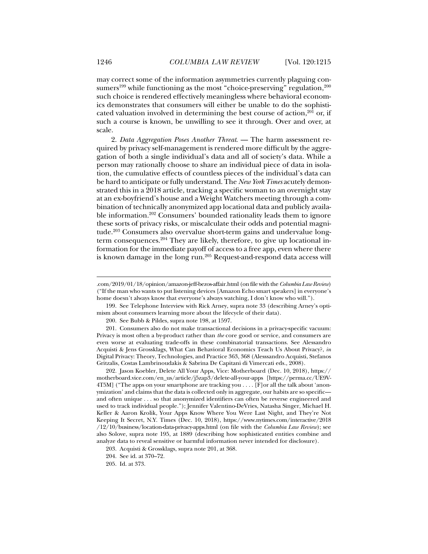may correct some of the information asymmetries currently plaguing consumers<sup>199</sup> while functioning as the most "choice-preserving" regulation,  $200$ such choice is rendered effectively meaningless where behavioral economics demonstrates that consumers will either be unable to do the sophisticated valuation involved in determining the best course of action,<sup>201</sup> or, if such a course is known, be unwilling to see it through. Over and over, at scale.

2. *Data Aggregation Poses Another Threat*. — The harm assessment required by privacy self-management is rendered more difficult by the aggregation of both a single individual's data and all of society's data. While a person may rationally choose to share an individual piece of data in isolation, the cumulative effects of countless pieces of the individual's data can be hard to anticipate or fully understand. The *New York Times* acutely demonstrated this in a 2018 article, tracking a specific woman to an overnight stay at an ex-boyfriend's house and a Weight Watchers meeting through a combination of technically anonymized app locational data and publicly available information.202 Consumers' bounded rationality leads them to ignore these sorts of privacy risks, or miscalculate their odds and potential magnitude.203 Consumers also overvalue short-term gains and undervalue longterm consequences.<sup>204</sup> They are likely, therefore, to give up locational information for the immediate payoff of access to a free app, even where there is known damage in the long run.<sup>205</sup> Request-and-respond data access will

 202. Jason Koebler, Delete All Your Apps, Vice: Motherboard (Dec. 10, 2018), https:// motherboard.vice.com/en\_us/article/j5zap3/delete-all-your-apps [https://perma.cc/UE9V-4T5M] ("The apps on your smartphone are tracking you . . . . [F]or all the talk about 'anonymization' and claims that the data is collected only in aggregate, our habits are so specific and often unique . . . so that anonymized identifiers can often be reverse engineered and used to track individual people."); Jennifer Valentino-DeVries, Natasha Singer, Michael H. Keller & Aaron Krolik, Your Apps Know Where You Were Last Night, and They're Not Keeping It Secret, N.Y. Times (Dec. 10, 2018), https://www.nytimes.com/interactive/2018 /12/10/business/location-data-privacy-apps.html (on file with the *Columbia Law Review*); see also Solove, supra note 195, at 1889 (describing how sophisticated entities combine and analyze data to reveal sensitive or harmful information never intended for disclosure).

<sup>.</sup>com/2019/01/18/opinion/amazon-jeff-bezos-affair.html (on file with the *Columbia Law Review*) ("If the man who wants to put listening devices [Amazon Echo smart speakers] in everyone's home doesn't always know that everyone's always watching, I don't know who will.").

 <sup>199.</sup> See Telephone Interview with Rick Arney, supra note 33 (describing Arney's optimism about consumers learning more about the lifecycle of their data).

 <sup>200.</sup> See Bubb & Pildes, supra note 198, at 1597.

 <sup>201.</sup> Consumers also do not make transactional decisions in a privacy-specific vacuum: Privacy is most often a by-product rather than *the* core good or service, and consumers are even worse at evaluating trade-offs in these combinatorial transactions. See Alessandro Acquisti & Jens Grossklags, What Can Behavioral Economics Teach Us About Privacy?, *in* Digital Privacy: Theory, Technologies, and Practice 363, 368 (Alesssandro Acquisti, Stefanos Gritzalis, Costas Lambrinoudakis & Sabrina De Capitani di Vimercati eds., 2008).

 <sup>203.</sup> Acquisti & Grossklags, supra note 201, at 368.

 <sup>204.</sup> See id. at 370–72.

 <sup>205.</sup> Id. at 373.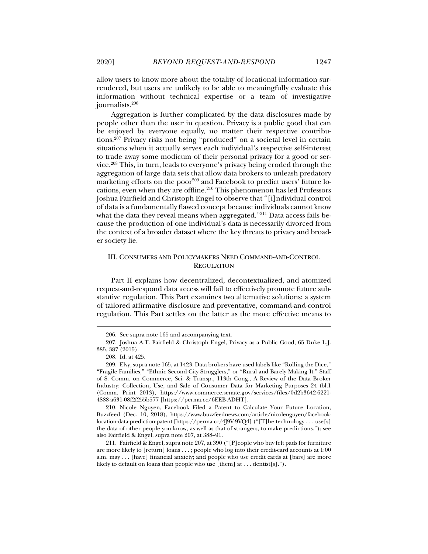allow users to know more about the totality of locational information surrendered, but users are unlikely to be able to meaningfully evaluate this information without technical expertise or a team of investigative journalists.206

Aggregation is further complicated by the data disclosures made by people other than the user in question. Privacy is a public good that can be enjoyed by everyone equally, no matter their respective contributions.<sup>207</sup> Privacy risks not being "produced" on a societal level in certain situations when it actually serves each individual's respective self-interest to trade away some modicum of their personal privacy for a good or service.208 This, in turn, leads to everyone's privacy being eroded through the aggregation of large data sets that allow data brokers to unleash predatory marketing efforts on the poor<sup>209</sup> and Facebook to predict users' future locations, even when they are offline.<sup>210</sup> This phenomenon has led Professors Joshua Fairfield and Christoph Engel to observe that "[i]ndividual control of data is a fundamentally flawed concept because individuals cannot know what the data they reveal means when aggregated."<sup>211</sup> Data access fails because the production of one individual's data is necessarily divorced from the context of a broader dataset where the key threats to privacy and broader society lie.

## III. CONSUMERS AND POLICYMAKERS NEED COMMAND-AND-CONTROL **REGULATION**

Part II explains how decentralized, decontextualized, and atomized request-and-respond data access will fail to effectively promote future substantive regulation. This Part examines two alternative solutions: a system of tailored affirmative disclosure and preventative, command-and-control regulation. This Part settles on the latter as the more effective means to

j

 210. Nicole Nguyen, Facebook Filed a Patent to Calculate Your Future Location, Buzzfeed (Dec. 10, 2018), https://www.buzzfeednews.com/article/nicolenguyen/facebooklocation-data-prediction-patent [https://perma.cc/4J9V-9VQ4] ("[T]he technology . . . use[s] the data of other people you know, as well as that of strangers, to make predictions."); see also Fairfield & Engel, supra note 207, at 388–91.

 211. Fairfield & Engel, supra note 207, at 390 ("[P]eople who buy felt pads for furniture are more likely to [return] loans . . . ; people who log into their credit-card accounts at 1:00 a.m. may . . . [have] financial anxiety; and people who use credit cards at [bars] are more likely to default on loans than people who use [them] at . . . dentist[s].").

 <sup>206.</sup> See supra note 165 and accompanying text.

 <sup>207.</sup> Joshua A.T. Fairfield & Christoph Engel, Privacy as a Public Good, 65 Duke L.J. 385, 387 (2015).

 <sup>208.</sup> Id. at 425.

 <sup>209.</sup> Elvy, supra note 165, at 1423. Data brokers have used labels like "Rolling the Dice," "Fragile Families," "Ethnic Second-City Strugglers," or "Rural and Barely Making It." Staff of S. Comm. on Commerce, Sci. & Transp., 113th Cong., A Review of the Data Broker Industry: Collection, Use, and Sale of Consumer Data for Marketing Purposes 24 tbl.1 (Comm. Print 2013), https://www.commerce.senate.gov/services/files/0d2b3642-6221- 4888-a631-08f2f255b577 [https://perma.cc/6EEB-ADHT].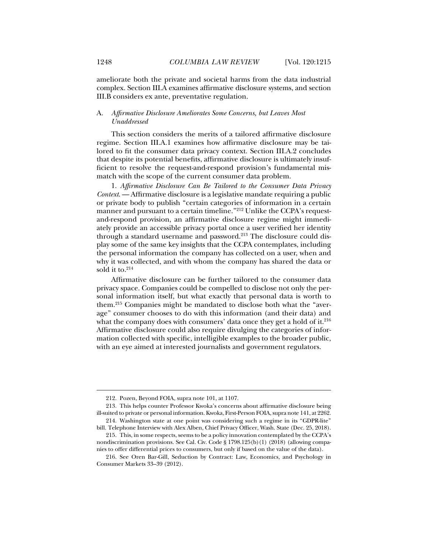ameliorate both the private and societal harms from the data industrial complex. Section III.A examines affirmative disclosure systems, and section III.B considers ex ante, preventative regulation.

## A. *Affirmative Disclosure Ameliorates Some Concerns, but Leaves Most Unaddressed*

This section considers the merits of a tailored affirmative disclosure regime. Section III.A.1 examines how affirmative disclosure may be tailored to fit the consumer data privacy context. Section III.A.2 concludes that despite its potential benefits, affirmative disclosure is ultimately insufficient to resolve the request-and-respond provision's fundamental mismatch with the scope of the current consumer data problem.

1. *Affirmative Disclosure Can Be Tailored to the Consumer Data Privacy Context*. — Affirmative disclosure is a legislative mandate requiring a public or private body to publish "certain categories of information in a certain manner and pursuant to a certain timeline."<sup>212</sup> Unlike the CCPA's requestand-respond provision, an affirmative disclosure regime might immediately provide an accessible privacy portal once a user verified her identity through a standard username and password.<sup>213</sup> The disclosure could display some of the same key insights that the CCPA contemplates, including the personal information the company has collected on a user, when and why it was collected, and with whom the company has shared the data or sold it to. $214$ 

Affirmative disclosure can be further tailored to the consumer data privacy space. Companies could be compelled to disclose not only the personal information itself, but what exactly that personal data is worth to them.215 Companies might be mandated to disclose both what the "average" consumer chooses to do with this information (and their data) and what the company does with consumers' data once they get a hold of it. $216$ Affirmative disclosure could also require divulging the categories of information collected with specific, intelligible examples to the broader public, with an eye aimed at interested journalists and government regulators.

 <sup>212.</sup> Pozen, Beyond FOIA, supra note 101, at 1107.

 <sup>213.</sup> This helps counter Professor Kwoka's concerns about affirmative disclosure being ill-suited to private or personal information. Kwoka, First-Person FOIA, supra note 141, at 2262. 214. Washington state at one point was considering such a regime in its "GDPR-lite"

bill. Telephone Interview with Alex Alben, Chief Privacy Officer, Wash. State (Dec. 25, 2018).

 <sup>215.</sup> This, in some respects, seems to be a policy innovation contemplated by the CCPA's nondiscrimination provisions. See Cal. Civ. Code § 1798.125(b)(1) (2018) (allowing companies to offer differential prices to consumers, but only if based on the value of the data).

 <sup>216.</sup> See Oren Bar-Gill, Seduction by Contract: Law, Economics, and Psychology in Consumer Markets 33–39 (2012).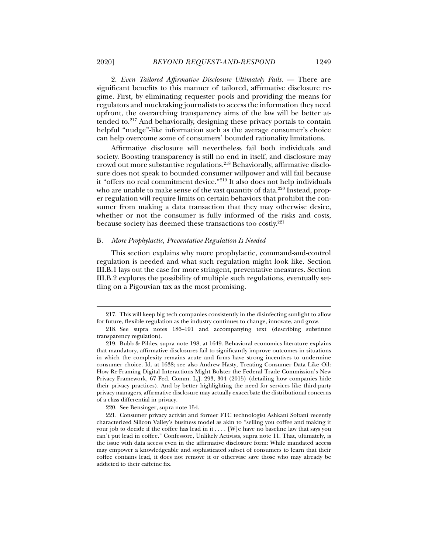2. *Even Tailored Affirmative Disclosure Ultimately Fails*. — There are significant benefits to this manner of tailored, affirmative disclosure regime. First, by eliminating requester pools and providing the means for regulators and muckraking journalists to access the information they need upfront, the overarching transparency aims of the law will be better attended to.217 And behaviorally, designing these privacy portals to contain helpful "nudge"-like information such as the average consumer's choice can help overcome some of consumers' bounded rationality limitations.

Affirmative disclosure will nevertheless fail both individuals and society. Boosting transparency is still no end in itself, and disclosure may crowd out more substantive regulations.218 Behaviorally, affirmative disclosure does not speak to bounded consumer willpower and will fail because it "offers no real commitment device."219 It also does not help individuals who are unable to make sense of the vast quantity of data.<sup>220</sup> Instead, proper regulation will require limits on certain behaviors that prohibit the consumer from making a data transaction that they may otherwise desire, whether or not the consumer is fully informed of the risks and costs, because society has deemed these transactions too costly.221

### B. *More Prophylactic, Preventative Regulation Is Needed*

This section explains why more prophylactic, command-and-control regulation is needed and what such regulation might look like. Section III.B.1 lays out the case for more stringent, preventative measures. Section III.B.2 explores the possibility of multiple such regulations, eventually settling on a Pigouvian tax as the most promising.

 <sup>217.</sup> This will keep big tech companies consistently in the disinfecting sunlight to allow for future, flexible regulation as the industry continues to change, innovate, and grow.

 <sup>218.</sup> See supra notes 186–191 and accompanying text (describing substitute transparency regulation).

 <sup>219.</sup> Bubb & Pildes, supra note 198, at 1649. Behavioral economics literature explains that mandatory, affirmative disclosures fail to significantly improve outcomes in situations in which the complexity remains acute and firms have strong incentives to undermine consumer choice. Id. at 1638; see also Andrew Hasty, Treating Consumer Data Like Oil: How Re-Framing Digital Interactions Might Bolster the Federal Trade Commission's New Privacy Framework, 67 Fed. Comm. L.J. 293, 304 (2015) (detailing how companies hide their privacy practices). And by better highlighting the need for services like third-party privacy managers, affirmative disclosure may actually exacerbate the distributional concerns of a class differential in privacy.

 <sup>220.</sup> See Bensinger, supra note 154.

 <sup>221.</sup> Consumer privacy activist and former FTC technologist Ashkani Soltani recently characterized Silicon Valley's business model as akin to "selling you coffee and making it your job to decide if the coffee has lead in it . . . . [W]e have no baseline law that says you can't put lead in coffee." Confessore, Unlikely Activists, supra note 11. That, ultimately, is the issue with data access even in the affirmative disclosure form: While mandated access may empower a knowledgeable and sophisticated subset of consumers to learn that their coffee contains lead, it does not remove it or otherwise save those who may already be addicted to their caffeine fix.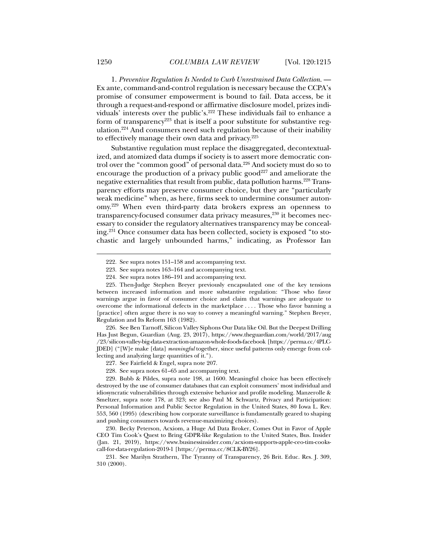1. *Preventive Regulation Is Needed to Curb Unrestrained Data Collection*. — Ex ante, command-and-control regulation is necessary because the CCPA's promise of consumer empowerment is bound to fail. Data access, be it through a request-and-respond or affirmative disclosure model, prizes individuals' interests over the public's.<sup>222</sup> These individuals fail to enhance a form of transparency<sup>223</sup> that is itself a poor substitute for substantive regulation.224 And consumers need such regulation because of their inability to effectively manage their own data and privacy.<sup>225</sup>

Substantive regulation must replace the disaggregated, decontextualized, and atomized data dumps if society is to assert more democratic control over the "common good" of personal data.<sup>226</sup> And society must do so to encourage the production of a privacy public good<sup>227</sup> and ameliorate the negative externalities that result from public, data pollution harms.228 Transparency efforts may preserve consumer choice, but they are "particularly weak medicine" when, as here, firms seek to undermine consumer autonomy.229 When even third-party data brokers express an openness to transparency-focused consumer data privacy measures,<sup>230</sup> it becomes necessary to consider the regulatory alternatives transparency may be concealing.231 Once consumer data has been collected, society is exposed "to stochastic and largely unbounded harms," indicating, as Professor Ian

 226. See Ben Tarnoff, Silicon Valley Siphons Our Data like Oil. But the Deepest Drilling Has Just Begun, Guardian (Aug. 23, 2017), https://www.theguardian.com/world/2017/aug /23/silicon-valley-big-data-extraction-amazon-whole-foods-facebook [https://perma.cc/4PLC-JDED] ("[W]e make [data] *meaningful* together, since useful patterns only emerge from collecting and analyzing large quantities of it.").

227. See Fairfield & Engel, supra note 207.

228. See supra notes 61–65 and accompanying text.

 229. Bubb & Pildes, supra note 198, at 1600. Meaningful choice has been effectively destroyed by the use of consumer databases that can exploit consumers' most individual and idiosyncratic vulnerabilities through extensive behavior and profile modeling. Manzerolle & Smeltzer, supra note 178, at 323; see also Paul M. Schwartz, Privacy and Participation: Personal Information and Public Sector Regulation in the United States, 80 Iowa L. Rev. 553, 560 (1995) (describing how corporate surveillance is fundamentally geared to shaping and pushing consumers towards revenue-maximizing choices).

 230. Becky Peterson, Acxiom, a Huge Ad Data Broker, Comes Out in Favor of Apple CEO Tim Cook's Quest to Bring GDPR-like Regulation to the United States, Bus. Insider (Jan. 21, 2019), https://www.businessinsider.com/acxiom-supports-apple-ceo-tim-cookscall-for-data-regulation-2019-1 [https://perma.cc/8CLK-BY26].

 231. See Marilyn Strathern, The Tyranny of Transparency, 26 Brit. Educ. Res. J. 309, 310 (2000).

 <sup>222.</sup> See supra notes 151–158 and accompanying text.

 <sup>223.</sup> See supra notes 163–164 and accompanying text.

 <sup>224.</sup> See supra notes 186–191 and accompanying text.

 <sup>225.</sup> Then-Judge Stephen Breyer previously encapsulated one of the key tensions between increased information and more substantive regulation: "Those who favor warnings argue in favor of consumer choice and claim that warnings are adequate to overcome the informational defects in the marketplace . . . . Those who favor banning a [practice] often argue there is no way to convey a meaningful warning." Stephen Breyer, Regulation and Its Reform 163 (1982).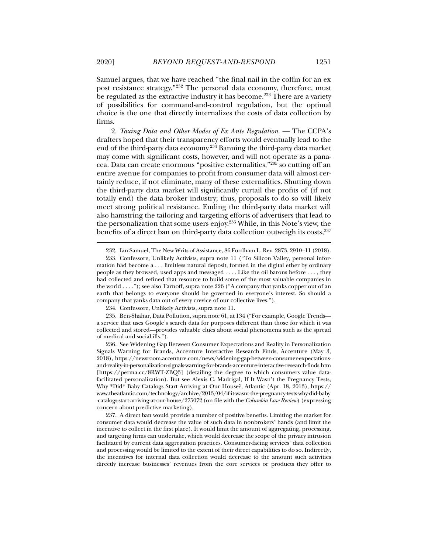Samuel argues, that we have reached "the final nail in the coffin for an ex post resistance strategy."232 The personal data economy, therefore, must be regulated as the extractive industry it has become.<sup>233</sup> There are a variety of possibilities for command-and-control regulation, but the optimal choice is the one that directly internalizes the costs of data collection by firms.

2. *Taxing Data and Other Modes of Ex Ante Regulation*. — The CCPA's drafters hoped that their transparency efforts would eventually lead to the end of the third-party data economy.234 Banning the third-party data market may come with significant costs, however, and will not operate as a panacea. Data can create enormous "positive externalities,"235 so cutting off an entire avenue for companies to profit from consumer data will almost certainly reduce, if not eliminate, many of these externalities. Shutting down the third-party data market will significantly curtail the profits of (if not totally end) the data broker industry; thus, proposals to do so will likely meet strong political resistance. Ending the third-party data market will also hamstring the tailoring and targeting efforts of advertisers that lead to the personalization that some users enjoy.236 While, in this Note's view, the benefits of a direct ban on third-party data collection outweigh its costs,<sup>237</sup>

234. Confessore, Unlikely Activists, supra note 11.

 <sup>232.</sup> Ian Samuel, The New Writs of Assistance, 86 Fordham L. Rev. 2873, 2910–11 (2018).

 <sup>233.</sup> Confessore, Unlikely Activists, supra note 11 ("To Silicon Valley, personal information had become a . . . limitless natural deposit, formed in the digital ether by ordinary people as they browsed, used apps and messaged . . . . Like the oil barons before . . . , they had collected and refined that resource to build some of the most valuable companies in the world . . . ."); see also Tarnoff, supra note 226 ("A company that yanks copper out of an earth that belongs to everyone should be governed in everyone's interest. So should a company that yanks data out of every crevice of our collective lives.").

 <sup>235.</sup> Ben-Shahar, Data Pollution, supra note 61, at 134 ("For example, Google Trends a service that uses Google's search data for purposes different than those for which it was collected and stored—provides valuable clues about social phenomena such as the spread of medical and social ills.").

 <sup>236.</sup> See Widening Gap Between Consumer Expectations and Reality in Personalization Signals Warning for Brands, Accenture Interactive Research Finds, Accenture (May 3, 2018), https://newsroom.accenture.com/news/widening-gap-between-consumer-expectationsand-reality-in-personalization-signals-warning-for-brands-accenture-interactive-research-finds.htm [https://perma.cc/8RWT-ZBQ3] (detailing the degree to which consumers value datafacilitated personalization). But see Alexis C. Madrigal, If It Wasn't the Pregnancy Tests, Why \*Did\* Baby Catalogs Start Arriving at Our House?, Atlantic (Apr. 18, 2013), https:// www.theatlantic.com/technology/archive/2013/04/if-it-wasnt-the-pregnancy-tests-why-did-baby -catalogs-start-arriving-at-our-house/275072 (on file with the *Columbia Law Review*) (expressing concern about predictive marketing).

 <sup>237.</sup> A direct ban would provide a number of positive benefits. Limiting the market for consumer data would decrease the value of such data in nonbrokers' hands (and limit the incentive to collect in the first place). It would limit the amount of aggregating, processing, and targeting firms can undertake, which would decrease the scope of the privacy intrusion facilitated by current data aggregation practices. Consumer-facing services' data collection and processing would be limited to the extent of their direct capabilities to do so. Indirectly, the incentives for internal data collection would decrease to the amount such activities directly increase businesses' revenues from the core services or products they offer to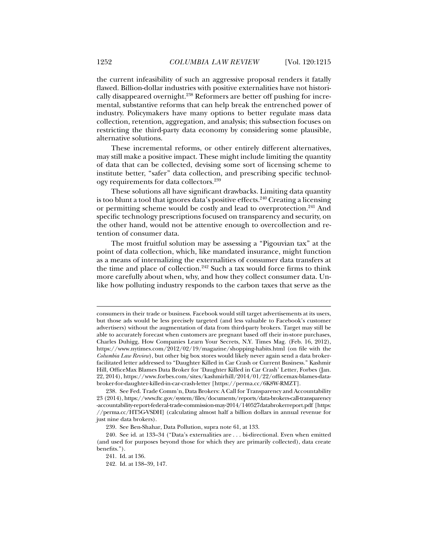the current infeasibility of such an aggressive proposal renders it fatally flawed. Billion-dollar industries with positive externalities have not historically disappeared overnight.<sup>238</sup> Reformers are better off pushing for incremental, substantive reforms that can help break the entrenched power of industry. Policymakers have many options to better regulate mass data collection, retention, aggregation, and analysis; this subsection focuses on restricting the third-party data economy by considering some plausible, alternative solutions.

These incremental reforms, or other entirely different alternatives, may still make a positive impact. These might include limiting the quantity of data that can be collected, devising some sort of licensing scheme to institute better, "safer" data collection, and prescribing specific technology requirements for data collectors.239

These solutions all have significant drawbacks. Limiting data quantity is too blunt a tool that ignores data's positive effects.<sup>240</sup> Creating a licensing or permitting scheme would be costly and lead to overprotection.<sup>241</sup> And specific technology prescriptions focused on transparency and security, on the other hand, would not be attentive enough to overcollection and retention of consumer data.

The most fruitful solution may be assessing a "Pigouvian tax" at the point of data collection, which, like mandated insurance, might function as a means of internalizing the externalities of consumer data transfers at the time and place of collection.<sup>242</sup> Such a tax would force firms to think more carefully about when, why, and how they collect consumer data. Unlike how polluting industry responds to the carbon taxes that serve as the

consumers in their trade or business. Facebook would still target advertisements at its users, but those ads would be less precisely targeted (and less valuable to Facebook's customer advertisers) without the augmentation of data from third-party brokers. Target may still be able to accurately forecast when customers are pregnant based off their in-store purchases, Charles Duhigg, How Companies Learn Your Secrets, N.Y. Times Mag. (Feb. 16, 2012), https://www.nytimes.com/2012/02/19/magazine/shopping-habits.html (on file with the *Columbia Law Review*), but other big box stores would likely never again send a data brokerfacilitated letter addressed to "Daughter Killed in Car Crash or Current Business." Kashmir Hill, OfficeMax Blames Data Broker for 'Daughter Killed in Car Crash' Letter, Forbes (Jan. 22, 2014), https://www.forbes.com/sites/kashmirhill/2014/01/22/officemax-blames-databroker-for-daughter-killed-in-car-crash-letter [https://perma.cc/6K8W-RMZT].

 <sup>238.</sup> See Fed. Trade Comm'n, Data Brokers: A Call for Transparency and Accountability 23 (2014), https://www.ftc.gov/system/files/documents/reports/data-brokers-call-transparency -accountability-report-federal-trade-commission-may-2014/140527databrokerreport.pdf [https: //perma.cc/HT5G-VSDH] (calculating almost half a billion dollars in annual revenue for just nine data brokers).

 <sup>239.</sup> See Ben-Shahar, Data Pollution, supra note 61, at 133.

 <sup>240.</sup> See id. at 133–34 ("Data's externalities are . . . bi-directional. Even when emitted (and used for purposes beyond those for which they are primarily collected), data create benefits.").

 <sup>241.</sup> Id. at 136.

 <sup>242.</sup> Id. at 138–39, 147.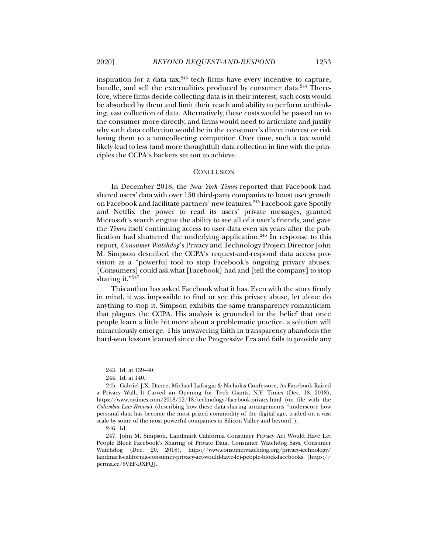inspiration for a data tax, $243$  tech firms have every incentive to capture, bundle, and sell the externalities produced by consumer data.<sup>244</sup> Therefore, where firms decide collecting data is in their interest, such costs would be absorbed by them and limit their reach and ability to perform unthinking, vast collection of data. Alternatively, these costs would be passed on to the consumer more directly, and firms would need to articulate and justify why such data collection would be in the consumer's direct interest or risk losing them to a noncollecting competitor. Over time, such a tax would likely lead to less (and more thoughtful) data collection in line with the prin-

#### **CONCLUSION**

ciples the CCPA's backers set out to achieve.

In December 2018, the *New York Times* reported that Facebook had shared users' data with over 150 third-party companies to boost user growth on Facebook and facilitate partners' new features.<sup>245</sup> Facebook gave Spotify and Netflix the power to read its users' private messages, granted Microsoft's search engine the ability to see all of a user's friends, and gave the *Times* itself continuing access to user data even six years after the publication had shuttered the underlying application.246 In response to this report, *Consumer Watchdog*'s Privacy and Technology Project Director John M. Simpson described the CCPA's request-and-respond data access provision as a "powerful tool to stop Facebook's ongoing privacy abuses. [Consumers] could ask what [Facebook] had and [tell the company] to stop sharing it."<sup>247</sup>

This author has asked Facebook what it has. Even with the story firmly in mind, it was impossible to find or see this privacy abuse, let alone do anything to stop it. Simpson exhibits the same transparency romanticism that plagues the CCPA. His analysis is grounded in the belief that once people learn a little bit more about a problematic practice, a solution will miraculously emerge. This unwavering faith in transparency abandons the hard-won lessons learned since the Progressive Era and fails to provide any

 <sup>243.</sup> Id. at 139–40.

 <sup>244.</sup> Id. at 140.

 <sup>245.</sup> Gabriel J.X. Dance, Michael Laforgia & Nicholas Confessore, As Facebook Raised a Privacy Wall, It Carved an Opening for Tech Giants, N.Y. Times (Dec. 18, 2018), https://www.nytimes.com/2018/12/18/technology/facebook-privacy.html (on file with the *Columbia Law Review*) (describing how these data sharing arrangements "underscore how personal data has become the most prized commodity of the digital age, traded on a vast scale by some of the most powerful companies in Silicon Valley and beyond").

 <sup>246.</sup> Id.

 <sup>247.</sup> John M. Simpson, Landmark California Consumer Privacy Act Would Have Let People Block Facebook's Sharing of Private Data, Consumer Watchdog Says, Consumer Watchdog (Dec. 20, 2018), https://www.consumerwatchdog.org/privacy-technology/ landmark-california-consumer-privacy-act-would-have-let-people-block-facebooks [https:// perma.cc/6VEF-DXFQ].